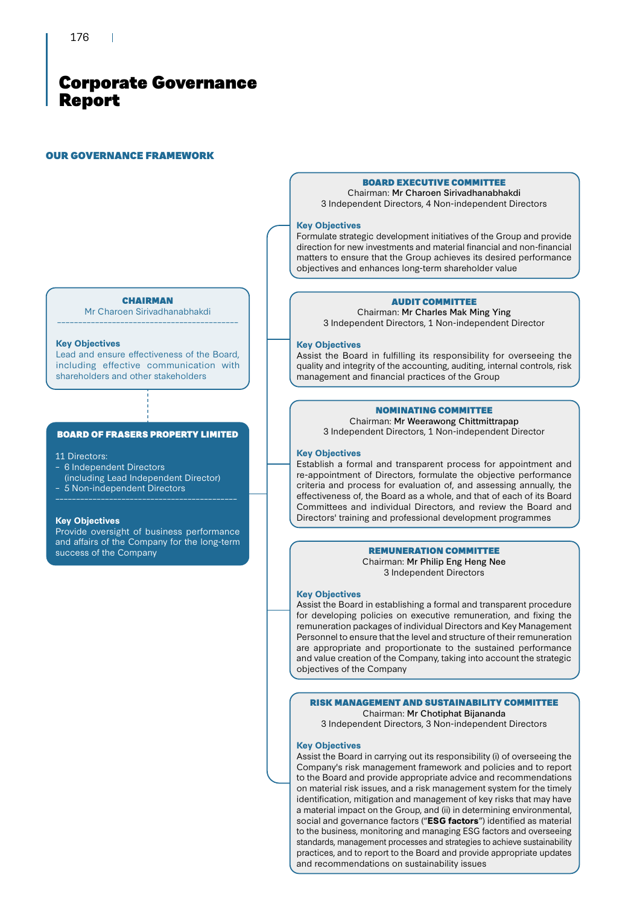#### OUR GOVERNANCE FRAMEWORK

#### BOARD EXECUTIVE COMMITTEE Chairman: Mr Charoen Sirivadhanabhakdi

3 Independent Directors, 4 Non-independent Directors

#### **Key Objectives**

Formulate strategic development initiatives of the Group and provide direction for new investments and material financial and non-financial matters to ensure that the Group achieves its desired performance objectives and enhances long-term shareholder value

### AUDIT COMMITTEE

Chairman: Mr Charles Mak Ming Ying 3 Independent Directors, 1 Non-independent Director

#### **Key Objectives**

Assist the Board in fulfilling its responsibility for overseeing the quality and integrity of the accounting, auditing, internal controls, risk management and financial practices of the Group

### NOMINATING COMMITTEE

Chairman: Mr Weerawong Chittmittrapap 3 Independent Directors, 1 Non-independent Director

#### **Key Objectives**

Establish a formal and transparent process for appointment and re-appointment of Directors, formulate the objective performance criteria and process for evaluation of, and assessing annually, the effectiveness of, the Board as a whole, and that of each of its Board Committees and individual Directors, and review the Board and Directors' training and professional development programmes

#### REMUNERATION COMMITTEE

Chairman: Mr Philip Eng Heng Nee 3 Independent Directors

#### **Key Objectives**

Assist the Board in establishing a formal and transparent procedure for developing policies on executive remuneration, and fixing the remuneration packages of individual Directors and Key Management Personnel to ensure that the level and structure of their remuneration are appropriate and proportionate to the sustained performance and value creation of the Company, taking into account the strategic objectives of the Company

#### RISK MANAGEMENT AND SUSTAINABILITY COMMITTEE Chairman: Mr Chotiphat Bijananda

3 Independent Directors, 3 Non-independent Directors

### **Key Objectives**

Assist the Board in carrying out its responsibility (i) of overseeing the Company's risk management framework and policies and to report to the Board and provide appropriate advice and recommendations on material risk issues, and a risk management system for the timely identification, mitigation and management of key risks that may have a material impact on the Group, and (ii) in determining environmental, social and governance factors ("**ESG factors**") identified as material to the business, monitoring and managing ESG factors and overseeing standards, management processes and strategies to achieve sustainability practices, and to report to the Board and provide appropriate updates and recommendations on sustainability issues

#### **CHAIRMAN** Mr Charoen Sirivadhanabhakdi

–––––––––––––––––––––––––––––––––––––––––––

#### **Key Objectives**

Lead and ensure effectiveness of the Board, including effective communication with shareholders and other stakeholders

### BOARD OF FRASERS PROPERTY LIMITED

#### 11 Directors:

- 6 Independent Directors (including Lead Independent Director)
- 5 Non-independent Directors
- 

#### **Key Objectives**

Provide oversight of business performance and affairs of the Company for the long-term success of the Company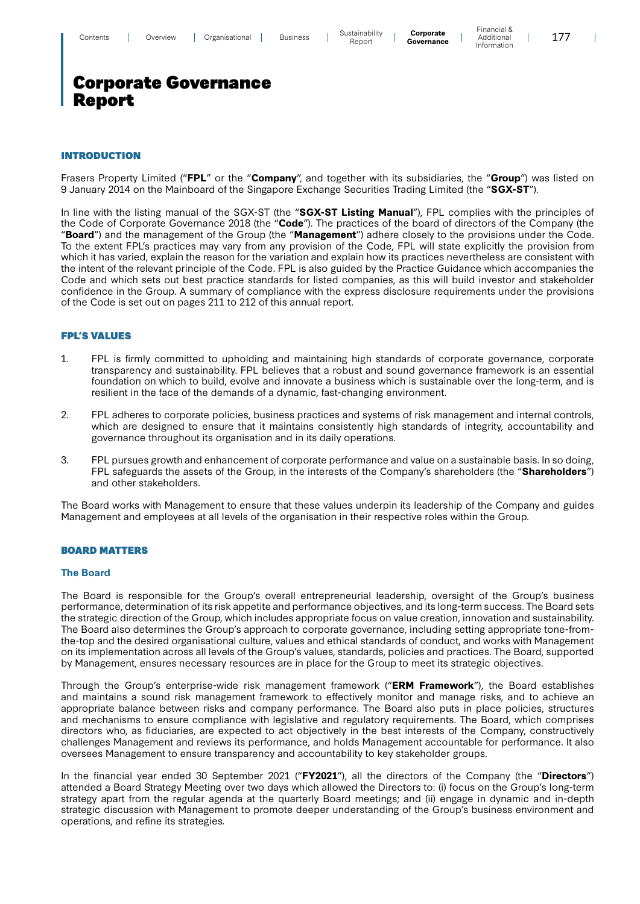### INTRODUCTION

Frasers Property Limited ("**FPL**" or the "**Company**", and together with its subsidiaries, the "**Group**") was listed on 9 January 2014 on the Mainboard of the Singapore Exchange Securities Trading Limited (the "**SGX-ST**").

In line with the listing manual of the SGX-ST (the "**SGX-ST Listing Manual**"), FPL complies with the principles of the Code of Corporate Governance 2018 (the "**Code**"). The practices of the board of directors of the Company (the "**Board**") and the management of the Group (the "**Management**") adhere closely to the provisions under the Code. To the extent FPL's practices may vary from any provision of the Code, FPL will state explicitly the provision from which it has varied, explain the reason for the variation and explain how its practices nevertheless are consistent with the intent of the relevant principle of the Code. FPL is also guided by the Practice Guidance which accompanies the Code and which sets out best practice standards for listed companies, as this will build investor and stakeholder confidence in the Group. A summary of compliance with the express disclosure requirements under the provisions of the Code is set out on pages 211 to 212 of this annual report.

### FPL'S VALUES

- 1. FPL is firmly committed to upholding and maintaining high standards of corporate governance, corporate transparency and sustainability. FPL believes that a robust and sound governance framework is an essential foundation on which to build, evolve and innovate a business which is sustainable over the long-term, and is resilient in the face of the demands of a dynamic, fast-changing environment.
- 2. FPL adheres to corporate policies, business practices and systems of risk management and internal controls, which are designed to ensure that it maintains consistently high standards of integrity, accountability and governance throughout its organisation and in its daily operations.
- 3. FPL pursues growth and enhancement of corporate performance and value on a sustainable basis. In so doing, FPL safeguards the assets of the Group, in the interests of the Company's shareholders (the "**Shareholders**") and other stakeholders.

The Board works with Management to ensure that these values underpin its leadership of the Company and guides Management and employees at all levels of the organisation in their respective roles within the Group.

### BOARD MATTERS

#### **The Board**

The Board is responsible for the Group's overall entrepreneurial leadership, oversight of the Group's business performance, determination of its risk appetite and performance objectives, and its long-term success. The Board sets the strategic direction of the Group, which includes appropriate focus on value creation, innovation and sustainability. The Board also determines the Group's approach to corporate governance, including setting appropriate tone-fromthe-top and the desired organisational culture, values and ethical standards of conduct, and works with Management on its implementation across all levels of the Group's values, standards, policies and practices. The Board, supported by Management, ensures necessary resources are in place for the Group to meet its strategic objectives.

Through the Group's enterprise-wide risk management framework ("**ERM Framework**"), the Board establishes and maintains a sound risk management framework to effectively monitor and manage risks, and to achieve an appropriate balance between risks and company performance. The Board also puts in place policies, structures and mechanisms to ensure compliance with legislative and regulatory requirements. The Board, which comprises directors who, as fiduciaries, are expected to act objectively in the best interests of the Company, constructively challenges Management and reviews its performance, and holds Management accountable for performance. It also oversees Management to ensure transparency and accountability to key stakeholder groups.

In the financial year ended 30 September 2021 ("**FY2021**"), all the directors of the Company (the "**Directors**") attended a Board Strategy Meeting over two days which allowed the Directors to: (i) focus on the Group's long-term strategy apart from the regular agenda at the quarterly Board meetings; and (ii) engage in dynamic and in-depth strategic discussion with Management to promote deeper understanding of the Group's business environment and operations, and refine its strategies.

 $\mathbf{I}$ 

 $\overline{\phantom{a}}$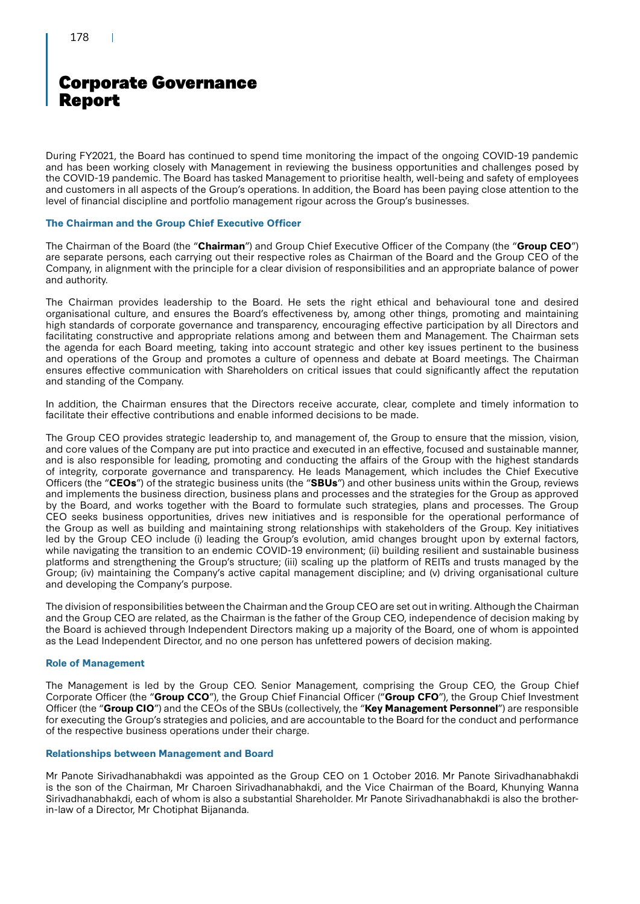During FY2021, the Board has continued to spend time monitoring the impact of the ongoing COVID-19 pandemic and has been working closely with Management in reviewing the business opportunities and challenges posed by the COVID-19 pandemic. The Board has tasked Management to prioritise health, well-being and safety of employees and customers in all aspects of the Group's operations. In addition, the Board has been paying close attention to the level of financial discipline and portfolio management rigour across the Group's businesses.

### **The Chairman and the Group Chief Executive Officer**

The Chairman of the Board (the "**Chairman**") and Group Chief Executive Officer of the Company (the "**Group CEO**") are separate persons, each carrying out their respective roles as Chairman of the Board and the Group CEO of the Company, in alignment with the principle for a clear division of responsibilities and an appropriate balance of power and authority.

The Chairman provides leadership to the Board. He sets the right ethical and behavioural tone and desired organisational culture, and ensures the Board's effectiveness by, among other things, promoting and maintaining high standards of corporate governance and transparency, encouraging effective participation by all Directors and facilitating constructive and appropriate relations among and between them and Management. The Chairman sets the agenda for each Board meeting, taking into account strategic and other key issues pertinent to the business and operations of the Group and promotes a culture of openness and debate at Board meetings. The Chairman ensures effective communication with Shareholders on critical issues that could significantly affect the reputation and standing of the Company.

In addition, the Chairman ensures that the Directors receive accurate, clear, complete and timely information to facilitate their effective contributions and enable informed decisions to be made.

The Group CEO provides strategic leadership to, and management of, the Group to ensure that the mission, vision, and core values of the Company are put into practice and executed in an effective, focused and sustainable manner, and is also responsible for leading, promoting and conducting the affairs of the Group with the highest standards of integrity, corporate governance and transparency. He leads Management, which includes the Chief Executive Officers (the "**CEOs**") of the strategic business units (the "**SBUs**") and other business units within the Group, reviews and implements the business direction, business plans and processes and the strategies for the Group as approved by the Board, and works together with the Board to formulate such strategies, plans and processes. The Group CEO seeks business opportunities, drives new initiatives and is responsible for the operational performance of the Group as well as building and maintaining strong relationships with stakeholders of the Group. Key initiatives led by the Group CEO include (i) leading the Group's evolution, amid changes brought upon by external factors, while navigating the transition to an endemic COVID-19 environment; (ii) building resilient and sustainable business platforms and strengthening the Group's structure; (iii) scaling up the platform of REITs and trusts managed by the Group; (iv) maintaining the Company's active capital management discipline; and (v) driving organisational culture and developing the Company's purpose.

The division of responsibilities between the Chairman and the Group CEO are set out in writing. Although the Chairman and the Group CEO are related, as the Chairman is the father of the Group CEO, independence of decision making by the Board is achieved through Independent Directors making up a majority of the Board, one of whom is appointed as the Lead Independent Director, and no one person has unfettered powers of decision making.

### **Role of Management**

The Management is led by the Group CEO. Senior Management, comprising the Group CEO, the Group Chief Corporate Officer (the "**Group CCO**"), the Group Chief Financial Officer ("**Group CFO**"), the Group Chief Investment Officer (the "**Group CIO**") and the CEOs of the SBUs (collectively, the "**Key Management Personnel**") are responsible for executing the Group's strategies and policies, and are accountable to the Board for the conduct and performance of the respective business operations under their charge.

### **Relationships between Management and Board**

Mr Panote Sirivadhanabhakdi was appointed as the Group CEO on 1 October 2016. Mr Panote Sirivadhanabhakdi is the son of the Chairman, Mr Charoen Sirivadhanabhakdi, and the Vice Chairman of the Board, Khunying Wanna Sirivadhanabhakdi, each of whom is also a substantial Shareholder. Mr Panote Sirivadhanabhakdi is also the brotherin-law of a Director, Mr Chotiphat Bijananda.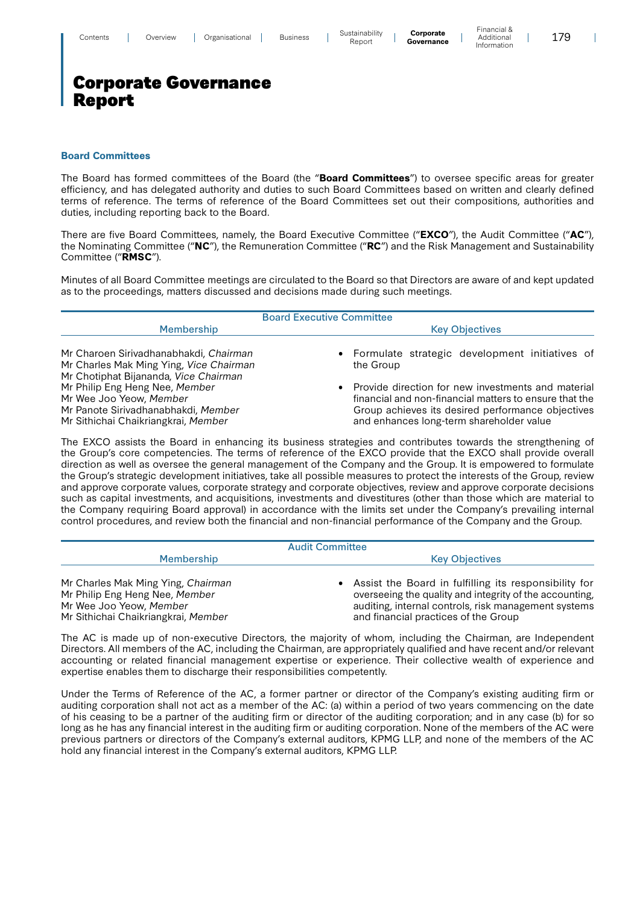$\mathbf{I}$ 

## Corporate Governance Report

#### **Board Committees**

The Board has formed committees of the Board (the "**Board Committees**") to oversee specific areas for greater efficiency, and has delegated authority and duties to such Board Committees based on written and clearly defined terms of reference. The terms of reference of the Board Committees set out their compositions, authorities and duties, including reporting back to the Board.

There are five Board Committees, namely, the Board Executive Committee ("**EXCO**"), the Audit Committee ("**AC**"), the Nominating Committee ("**NC**"), the Remuneration Committee ("**RC**") and the Risk Management and Sustainability Committee ("**RMSC**").

Minutes of all Board Committee meetings are circulated to the Board so that Directors are aware of and kept updated as to the proceedings, matters discussed and decisions made during such meetings.

| <b>Board Executive Committee</b>                                                                                                        |                                                                                                                                                                                                               |  |  |  |  |  |  |
|-----------------------------------------------------------------------------------------------------------------------------------------|---------------------------------------------------------------------------------------------------------------------------------------------------------------------------------------------------------------|--|--|--|--|--|--|
| Membership                                                                                                                              | <b>Key Objectives</b>                                                                                                                                                                                         |  |  |  |  |  |  |
| Mr Charoen Sirivadhanabhakdi, Chairman<br>Mr Charles Mak Ming Ying, Vice Chairman<br>Mr Chotiphat Bijananda, Vice Chairman              | • Formulate strategic development initiatives of<br>the Group                                                                                                                                                 |  |  |  |  |  |  |
| Mr Philip Eng Heng Nee, Member<br>Mr Wee Joo Yeow, Member<br>Mr Panote Sirivadhanabhakdi, Member<br>Mr Sithichai Chaikriangkrai, Member | Provide direction for new investments and material<br>financial and non-financial matters to ensure that the<br>Group achieves its desired performance objectives<br>and enhances long-term shareholder value |  |  |  |  |  |  |

The EXCO assists the Board in enhancing its business strategies and contributes towards the strengthening of the Group's core competencies. The terms of reference of the EXCO provide that the EXCO shall provide overall direction as well as oversee the general management of the Company and the Group. It is empowered to formulate the Group's strategic development initiatives, take all possible measures to protect the interests of the Group, review and approve corporate values, corporate strategy and corporate objectives, review and approve corporate decisions such as capital investments, and acquisitions, investments and divestitures (other than those which are material to the Company requiring Board approval) in accordance with the limits set under the Company's prevailing internal control procedures, and review both the financial and non-financial performance of the Company and the Group.

| <b>Audit Committee</b>                                                                                                                 |                                                                                                                                                                                                                  |  |  |  |  |  |
|----------------------------------------------------------------------------------------------------------------------------------------|------------------------------------------------------------------------------------------------------------------------------------------------------------------------------------------------------------------|--|--|--|--|--|
| <b>Membership</b>                                                                                                                      | <b>Key Objectives</b>                                                                                                                                                                                            |  |  |  |  |  |
| Mr Charles Mak Ming Ying, Chairman<br>Mr Philip Eng Heng Nee, Member<br>Mr Wee Joo Yeow, Member<br>Mr Sithichai Chaikriangkrai, Member | Assist the Board in fulfilling its responsibility for<br>overseeing the quality and integrity of the accounting,<br>auditing, internal controls, risk management systems<br>and financial practices of the Group |  |  |  |  |  |

The AC is made up of non-executive Directors, the majority of whom, including the Chairman, are Independent Directors. All members of the AC, including the Chairman, are appropriately qualified and have recent and/or relevant accounting or related financial management expertise or experience. Their collective wealth of experience and expertise enables them to discharge their responsibilities competently.

Under the Terms of Reference of the AC, a former partner or director of the Company's existing auditing firm or auditing corporation shall not act as a member of the AC: (a) within a period of two years commencing on the date of his ceasing to be a partner of the auditing firm or director of the auditing corporation; and in any case (b) for so long as he has any financial interest in the auditing firm or auditing corporation. None of the members of the AC were previous partners or directors of the Company's external auditors, KPMG LLP, and none of the members of the AC hold any financial interest in the Company's external auditors, KPMG LLP.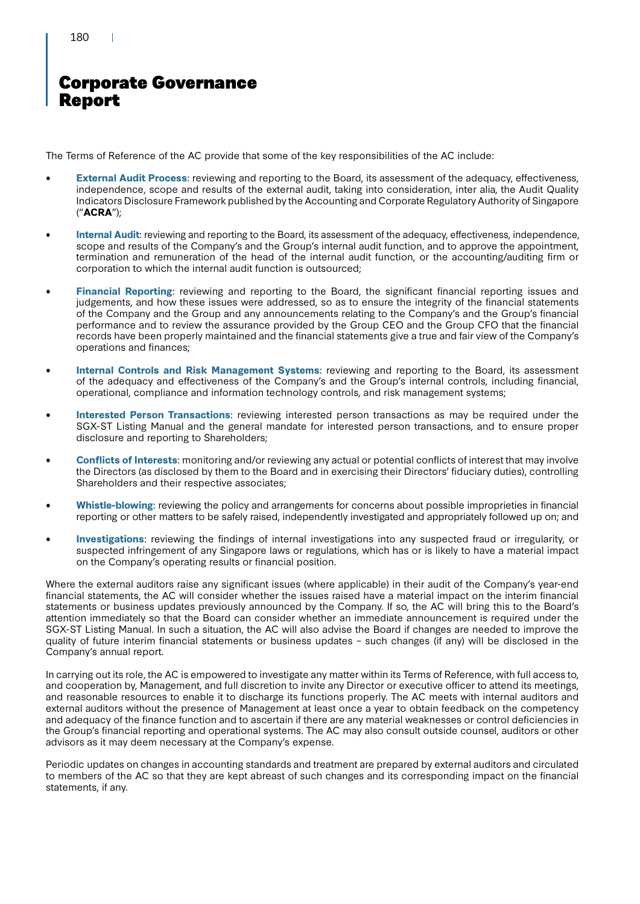### 180

# Corporate Governance Report

The Terms of Reference of the AC provide that some of the key responsibilities of the AC include:

- **External Audit Process**: reviewing and reporting to the Board, its assessment of the adequacy, effectiveness, independence, scope and results of the external audit, taking into consideration, inter alia, the Audit Quality Indicators Disclosure Framework published by the Accounting and Corporate Regulatory Authority of Singapore ("**ACRA**");
- **Internal Audit**: reviewing and reporting to the Board, its assessment of the adequacy, effectiveness, independence, scope and results of the Company's and the Group's internal audit function, and to approve the appointment, termination and remuneration of the head of the internal audit function, or the accounting/auditing firm or corporation to which the internal audit function is outsourced;
- **Financial Reporting**: reviewing and reporting to the Board, the significant financial reporting issues and judgements, and how these issues were addressed, so as to ensure the integrity of the financial statements of the Company and the Group and any announcements relating to the Company's and the Group's financial performance and to review the assurance provided by the Group CEO and the Group CFO that the financial records have been properly maintained and the financial statements give a true and fair view of the Company's operations and finances;
- **Internal Controls and Risk Management Systems**: reviewing and reporting to the Board, its assessment of the adequacy and effectiveness of the Company's and the Group's internal controls, including financial, operational, compliance and information technology controls, and risk management systems;
- **Interested Person Transactions**: reviewing interested person transactions as may be required under the SGX-ST Listing Manual and the general mandate for interested person transactions, and to ensure proper disclosure and reporting to Shareholders;
- **Conflicts of Interests**: monitoring and/or reviewing any actual or potential conflicts of interest that may involve the Directors (as disclosed by them to the Board and in exercising their Directors' fiduciary duties), controlling Shareholders and their respective associates;
- **Whistle-blowing**: reviewing the policy and arrangements for concerns about possible improprieties in financial reporting or other matters to be safely raised, independently investigated and appropriately followed up on; and
- **Investigations**: reviewing the findings of internal investigations into any suspected fraud or irregularity, or suspected infringement of any Singapore laws or regulations, which has or is likely to have a material impact on the Company's operating results or financial position.

Where the external auditors raise any significant issues (where applicable) in their audit of the Company's year-end financial statements, the AC will consider whether the issues raised have a material impact on the interim financial statements or business updates previously announced by the Company. If so, the AC will bring this to the Board's attention immediately so that the Board can consider whether an immediate announcement is required under the SGX-ST Listing Manual. In such a situation, the AC will also advise the Board if changes are needed to improve the quality of future interim financial statements or business updates – such changes (if any) will be disclosed in the Company's annual report.

In carrying out its role, the AC is empowered to investigate any matter within its Terms of Reference, with full access to, and cooperation by, Management, and full discretion to invite any Director or executive officer to attend its meetings, and reasonable resources to enable it to discharge its functions properly. The AC meets with internal auditors and external auditors without the presence of Management at least once a year to obtain feedback on the competency and adequacy of the finance function and to ascertain if there are any material weaknesses or control deficiencies in the Group's financial reporting and operational systems. The AC may also consult outside counsel, auditors or other advisors as it may deem necessary at the Company's expense.

Periodic updates on changes in accounting standards and treatment are prepared by external auditors and circulated to members of the AC so that they are kept abreast of such changes and its corresponding impact on the financial statements, if any.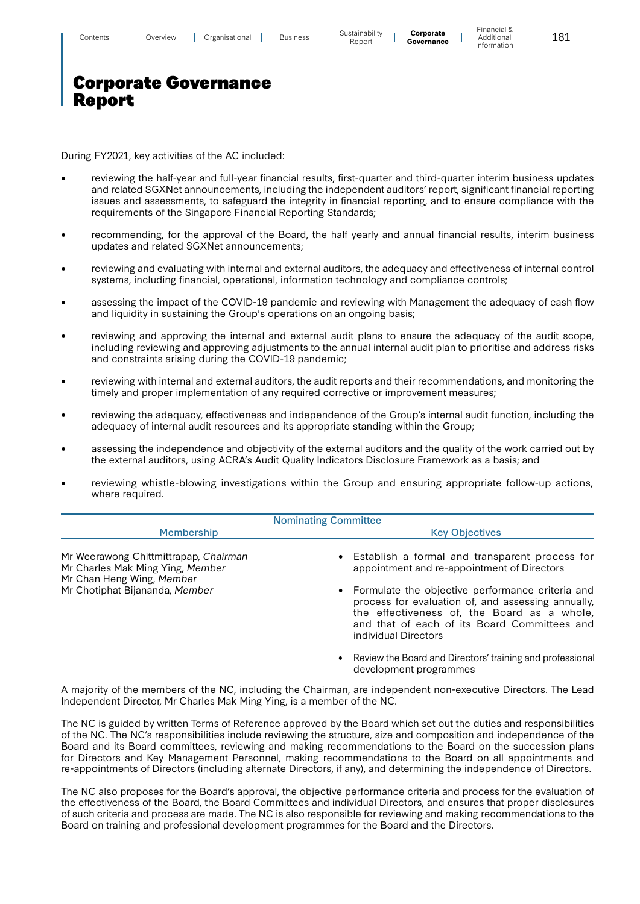$\overline{\phantom{a}}$ 

### Corporate Governance Report

During FY2021, key activities of the AC included:

- reviewing the half-year and full-year financial results, first-quarter and third-quarter interim business updates and related SGXNet announcements, including the independent auditors' report, significant financial reporting issues and assessments, to safeguard the integrity in financial reporting, and to ensure compliance with the requirements of the Singapore Financial Reporting Standards;
- recommending, for the approval of the Board, the half yearly and annual financial results, interim business updates and related SGXNet announcements;
- reviewing and evaluating with internal and external auditors, the adequacy and effectiveness of internal control systems, including financial, operational, information technology and compliance controls;
- assessing the impact of the COVID-19 pandemic and reviewing with Management the adequacy of cash flow and liquidity in sustaining the Group's operations on an ongoing basis;
- reviewing and approving the internal and external audit plans to ensure the adequacy of the audit scope, including reviewing and approving adjustments to the annual internal audit plan to prioritise and address risks and constraints arising during the COVID-19 pandemic;
- reviewing with internal and external auditors, the audit reports and their recommendations, and monitoring the timely and proper implementation of any required corrective or improvement measures;
- reviewing the adequacy, effectiveness and independence of the Group's internal audit function, including the adequacy of internal audit resources and its appropriate standing within the Group;
- assessing the independence and objectivity of the external auditors and the quality of the work carried out by the external auditors, using ACRA's Audit Quality Indicators Disclosure Framework as a basis; and
- reviewing whistle-blowing investigations within the Group and ensuring appropriate follow-up actions, where required.

| <b>Nominating Committee</b>                                                                            |                                                                                                                                                                                                                                 |  |  |  |  |  |  |
|--------------------------------------------------------------------------------------------------------|---------------------------------------------------------------------------------------------------------------------------------------------------------------------------------------------------------------------------------|--|--|--|--|--|--|
| <b>Membership</b>                                                                                      | <b>Key Objectives</b>                                                                                                                                                                                                           |  |  |  |  |  |  |
| Mr Weerawong Chittmittrapap, Chairman<br>Mr Charles Mak Ming Ying, Member<br>Mr Chan Heng Wing, Member | • Establish a formal and transparent process for<br>appointment and re-appointment of Directors                                                                                                                                 |  |  |  |  |  |  |
| Mr Chotiphat Bijananda, Member                                                                         | • Formulate the objective performance criteria and<br>process for evaluation of, and assessing annually,<br>the effectiveness of, the Board as a whole,<br>and that of each of its Board Committees and<br>individual Directors |  |  |  |  |  |  |

• Review the Board and Directors' training and professional development programmes

A majority of the members of the NC, including the Chairman, are independent non-executive Directors. The Lead Independent Director, Mr Charles Mak Ming Ying, is a member of the NC.

The NC is guided by written Terms of Reference approved by the Board which set out the duties and responsibilities of the NC. The NC's responsibilities include reviewing the structure, size and composition and independence of the Board and its Board committees, reviewing and making recommendations to the Board on the succession plans for Directors and Key Management Personnel, making recommendations to the Board on all appointments and re-appointments of Directors (including alternate Directors, if any), and determining the independence of Directors.

The NC also proposes for the Board's approval, the objective performance criteria and process for the evaluation of the effectiveness of the Board, the Board Committees and individual Directors, and ensures that proper disclosures of such criteria and process are made. The NC is also responsible for reviewing and making recommendations to the Board on training and professional development programmes for the Board and the Directors.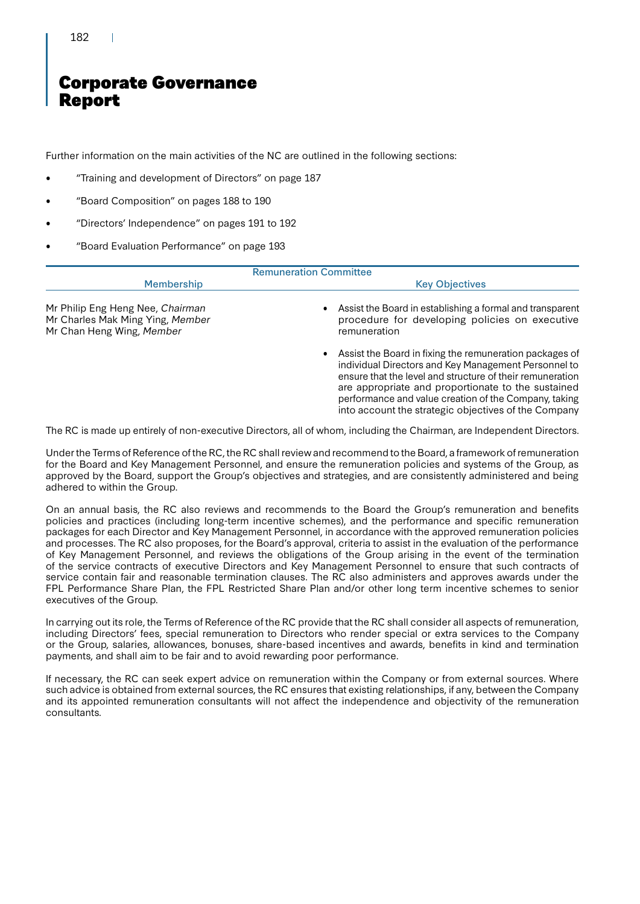### 182

# Corporate Governance Report

Further information on the main activities of the NC are outlined in the following sections:

- "Training and development of Directors" on page 187
- "Board Composition" on pages 188 to 190
- "Directors' Independence" on pages 191 to 192
- "Board Evaluation Performance" on page 193

| <b>Remuneration Committee</b>                                                                                          |                                                                                                                                                                                                                                                                                                                                                       |
|------------------------------------------------------------------------------------------------------------------------|-------------------------------------------------------------------------------------------------------------------------------------------------------------------------------------------------------------------------------------------------------------------------------------------------------------------------------------------------------|
| Membership                                                                                                             | <b>Key Objectives</b>                                                                                                                                                                                                                                                                                                                                 |
| Mr Philip Eng Heng Nee, Chairman<br>Mr Charles Mak Ming Ying, Member<br>Mr Chan Heng Wing, Member                      | Assist the Board in establishing a formal and transparent<br>procedure for developing policies on executive<br>remuneration                                                                                                                                                                                                                           |
|                                                                                                                        | • Assist the Board in fixing the remuneration packages of<br>individual Directors and Key Management Personnel to<br>ensure that the level and structure of their remuneration<br>are appropriate and proportionate to the sustained<br>performance and value creation of the Company, taking<br>into account the strategic objectives of the Company |
| The RC is made up entirely of non-executive Directors, all of whom, including the Chairman, are Independent Directors. |                                                                                                                                                                                                                                                                                                                                                       |

Under the Terms of Reference of the RC, the RC shall review and recommend to the Board, a framework of remuneration for the Board and Key Management Personnel, and ensure the remuneration policies and systems of the Group, as approved by the Board, support the Group's objectives and strategies, and are consistently administered and being adhered to within the Group.

On an annual basis, the RC also reviews and recommends to the Board the Group's remuneration and benefits policies and practices (including long-term incentive schemes), and the performance and specific remuneration packages for each Director and Key Management Personnel, in accordance with the approved remuneration policies and processes. The RC also proposes, for the Board's approval, criteria to assist in the evaluation of the performance of Key Management Personnel, and reviews the obligations of the Group arising in the event of the termination of the service contracts of executive Directors and Key Management Personnel to ensure that such contracts of service contain fair and reasonable termination clauses. The RC also administers and approves awards under the FPL Performance Share Plan, the FPL Restricted Share Plan and/or other long term incentive schemes to senior executives of the Group.

In carrying out its role, the Terms of Reference of the RC provide that the RC shall consider all aspects of remuneration, including Directors' fees, special remuneration to Directors who render special or extra services to the Company or the Group, salaries, allowances, bonuses, share-based incentives and awards, benefits in kind and termination payments, and shall aim to be fair and to avoid rewarding poor performance.

If necessary, the RC can seek expert advice on remuneration within the Company or from external sources. Where such advice is obtained from external sources, the RC ensures that existing relationships, if any, between the Company and its appointed remuneration consultants will not affect the independence and objectivity of the remuneration consultants.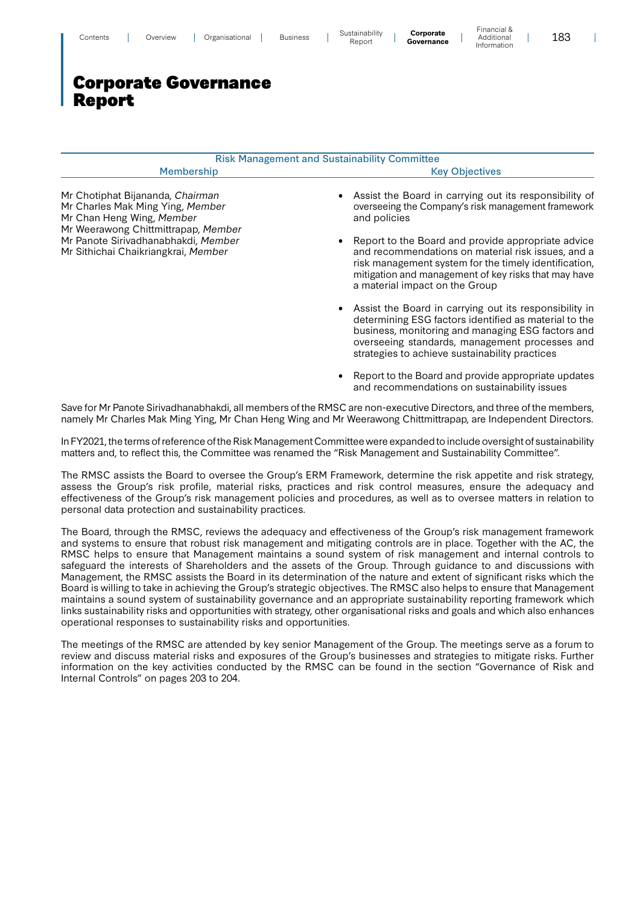| Contents | Jverview | Jrganisational | <b>Business</b> | <br>Sustainabilitv<br>Report | Corporate<br>.<br>Governance | - 11 191 191 91 91<br>Additional | οc<br>100 |
|----------|----------|----------------|-----------------|------------------------------|------------------------------|----------------------------------|-----------|
|          |          |                |                 |                              |                              | Information                      |           |

|                                                                                                                                          | <b>Risk Management and Sustainability Committee</b>                                                                                                                                                                                                           |
|------------------------------------------------------------------------------------------------------------------------------------------|---------------------------------------------------------------------------------------------------------------------------------------------------------------------------------------------------------------------------------------------------------------|
| <b>Membership</b>                                                                                                                        | <b>Key Objectives</b>                                                                                                                                                                                                                                         |
| Mr Chotiphat Bijananda, Chairman<br>Mr Charles Mak Ming Ying, Member<br>Mr Chan Heng Wing, Member<br>Mr Weerawong Chittmittrapap, Member | • Assist the Board in carrying out its responsibility of<br>overseeing the Company's risk management framework<br>and policies                                                                                                                                |
| Mr Panote Sirivadhanabhakdi, Member<br>Mr Sithichai Chaikriangkrai, Member                                                               | • Report to the Board and provide appropriate advice<br>and recommendations on material risk issues, and a<br>risk management system for the timely identification,<br>mitigation and management of key risks that may have<br>a material impact on the Group |
|                                                                                                                                          | • Assist the Board in carrying out its responsibility in<br>determining ESG factors identified as material to the<br>business, monitoring and managing ESG factors and                                                                                        |

• Report to the Board and provide appropriate updates and recommendations on sustainability issues

strategies to achieve sustainability practices

overseeing standards, management processes and

Financial &

 $\overline{\phantom{a}}$ 

Save for Mr Panote Sirivadhanabhakdi, all members of the RMSC are non-executive Directors, and three of the members, namely Mr Charles Mak Ming Ying, Mr Chan Heng Wing and Mr Weerawong Chittmittrapap, are Independent Directors.

In FY2021, the terms of reference of the Risk Management Committee were expanded to include oversight of sustainability matters and, to reflect this, the Committee was renamed the "Risk Management and Sustainability Committee".

The RMSC assists the Board to oversee the Group's ERM Framework, determine the risk appetite and risk strategy, assess the Group's risk profile, material risks, practices and risk control measures, ensure the adequacy and effectiveness of the Group's risk management policies and procedures, as well as to oversee matters in relation to personal data protection and sustainability practices.

The Board, through the RMSC, reviews the adequacy and effectiveness of the Group's risk management framework and systems to ensure that robust risk management and mitigating controls are in place. Together with the AC, the RMSC helps to ensure that Management maintains a sound system of risk management and internal controls to safeguard the interests of Shareholders and the assets of the Group. Through guidance to and discussions with Management, the RMSC assists the Board in its determination of the nature and extent of significant risks which the Board is willing to take in achieving the Group's strategic objectives. The RMSC also helps to ensure that Management maintains a sound system of sustainability governance and an appropriate sustainability reporting framework which links sustainability risks and opportunities with strategy, other organisational risks and goals and which also enhances operational responses to sustainability risks and opportunities.

The meetings of the RMSC are attended by key senior Management of the Group. The meetings serve as a forum to review and discuss material risks and exposures of the Group's businesses and strategies to mitigate risks. Further information on the key activities conducted by the RMSC can be found in the section "Governance of Risk and Internal Controls" on pages 203 to 204.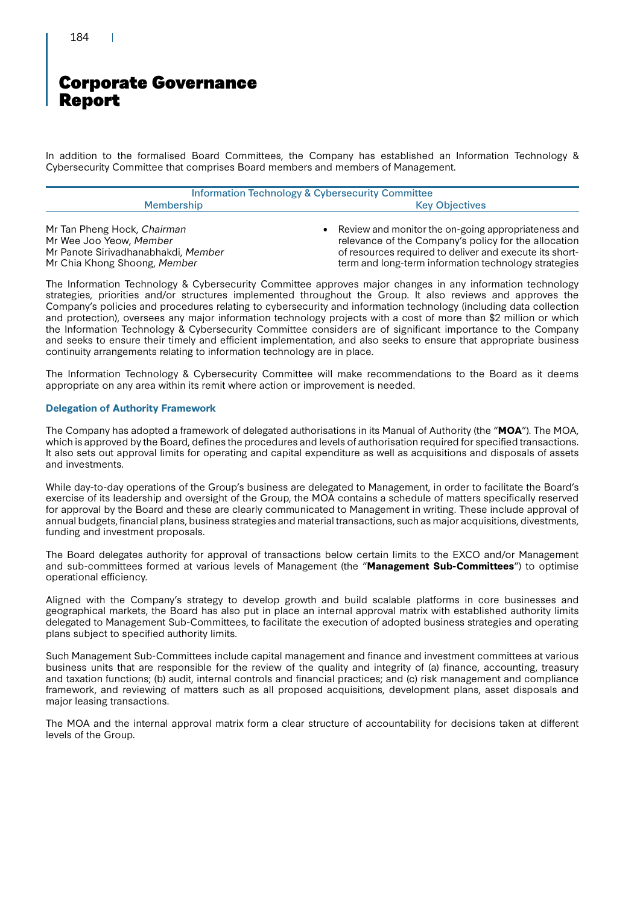### 184

# Corporate Governance Report

In addition to the formalised Board Committees, the Company has established an Information Technology & Cybersecurity Committee that comprises Board members and members of Management.

| <b>Information Technology &amp; Cybersecurity Committee</b> |                       |  |  |  |
|-------------------------------------------------------------|-----------------------|--|--|--|
| Membership                                                  | <b>Key Objectives</b> |  |  |  |
|                                                             |                       |  |  |  |

Mr Tan Pheng Hock, Chairman Mr Wee Joo Yeow, Member

Mr Panote Sirivadhanabhakdi, Member

Mr Chia Khong Shoong, Member

• Review and monitor the on-going appropriateness and relevance of the Company's policy for the allocation of resources required to deliver and execute its shortterm and long-term information technology strategies

The Information Technology & Cybersecurity Committee approves major changes in any information technology strategies, priorities and/or structures implemented throughout the Group. It also reviews and approves the Company's policies and procedures relating to cybersecurity and information technology (including data collection and protection), oversees any major information technology projects with a cost of more than \$2 million or which the Information Technology & Cybersecurity Committee considers are of significant importance to the Company and seeks to ensure their timely and efficient implementation, and also seeks to ensure that appropriate business continuity arrangements relating to information technology are in place.

The Information Technology & Cybersecurity Committee will make recommendations to the Board as it deems appropriate on any area within its remit where action or improvement is needed.

### **Delegation of Authority Framework**

The Company has adopted a framework of delegated authorisations in its Manual of Authority (the "**MOA**"). The MOA, which is approved by the Board, defines the procedures and levels of authorisation required for specified transactions. It also sets out approval limits for operating and capital expenditure as well as acquisitions and disposals of assets and investments.

While day-to-day operations of the Group's business are delegated to Management, in order to facilitate the Board's exercise of its leadership and oversight of the Group, the MOA contains a schedule of matters specifically reserved for approval by the Board and these are clearly communicated to Management in writing. These include approval of annual budgets, financial plans, business strategies and material transactions, such as major acquisitions, divestments, funding and investment proposals.

The Board delegates authority for approval of transactions below certain limits to the EXCO and/or Management and sub-committees formed at various levels of Management (the "**Management Sub-Committees**") to optimise operational efficiency.

Aligned with the Company's strategy to develop growth and build scalable platforms in core businesses and geographical markets, the Board has also put in place an internal approval matrix with established authority limits delegated to Management Sub-Committees, to facilitate the execution of adopted business strategies and operating plans subject to specified authority limits.

Such Management Sub-Committees include capital management and finance and investment committees at various business units that are responsible for the review of the quality and integrity of (a) finance, accounting, treasury and taxation functions; (b) audit, internal controls and financial practices; and (c) risk management and compliance framework, and reviewing of matters such as all proposed acquisitions, development plans, asset disposals and major leasing transactions.

The MOA and the internal approval matrix form a clear structure of accountability for decisions taken at different levels of the Group.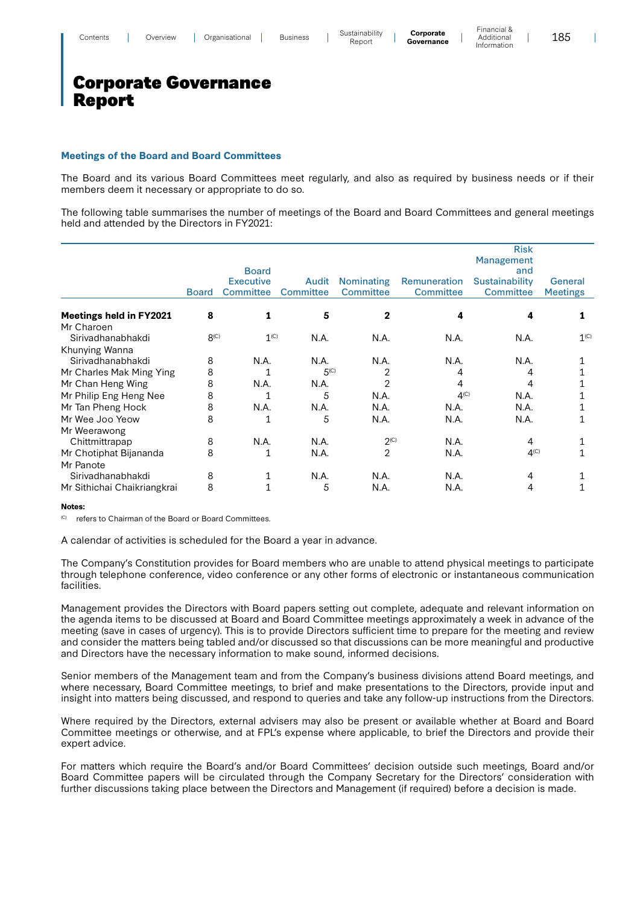### **Meetings of the Board and Board Committees**

The Board and its various Board Committees meet regularly, and also as required by business needs or if their members deem it necessary or appropriate to do so.

The following table summarises the number of meetings of the Board and Board Committees and general meetings held and attended by the Directors in FY2021:

|                                     |                  |                  |                  |                             |                  | <b>Risk</b><br><b>Management</b> |                  |
|-------------------------------------|------------------|------------------|------------------|-----------------------------|------------------|----------------------------------|------------------|
|                                     |                  | <b>Board</b>     |                  |                             |                  | and                              |                  |
|                                     |                  | <b>Executive</b> | Audit            | <b>Nominating</b>           | Remuneration     | Sustainability                   | General          |
|                                     | <b>Board</b>     | <b>Committee</b> | <b>Committee</b> | Committee                   | <b>Committee</b> | Committee                        | <b>Meetings</b>  |
| <b>Meetings held in FY2021</b>      | 8                | 1                | 5                | 2                           | 4                |                                  |                  |
| Mr Charoen                          |                  |                  |                  |                             |                  |                                  |                  |
| Siriyadhanabhakdi                   | 8 <sup>(C)</sup> | 1 <sup>(C)</sup> | N.A.             | N.A.                        | N.A.             | N.A.                             | 1 <sup>(C)</sup> |
| Khunying Wanna                      |                  |                  |                  |                             |                  |                                  |                  |
| Siriyadhanabhakdi                   | 8                | N.A.             | N.A.             | N.A.                        | N.A.             | N.A.                             |                  |
| Mr Charles Mak Ming Ying            | 8                |                  | 5 <sup>(C)</sup> | 2                           | 4                | 4                                |                  |
| Mr Chan Heng Wing                   | 8                | N.A.             | N.A.             | 2                           | 4                | 4                                |                  |
| Mr Philip Eng Heng Nee              | 8                |                  | 5                | N.A.                        | 4 <sup>(C)</sup> | N.A.                             |                  |
| Mr Tan Pheng Hock                   | 8                | N.A.             | N.A.             | N.A.                        | N.A.             | N.A.                             |                  |
| Mr Wee Joo Yeow                     | 8                | 1                | 5                | N.A.                        | N.A.             | N.A.                             |                  |
| Mr Weerawong                        |                  |                  |                  |                             |                  |                                  |                  |
| Chittmittrapap                      | 8                | N.A.             | N.A.             | $2^{\left(\text{C}\right)}$ | N.A.             | 4                                |                  |
| Mr Chotiphat Bijananda<br>Mr Panote | 8                | 1                | N.A.             | 2                           | N.A.             | 4 <sup>(C)</sup>                 |                  |
| Sirivadhanabhakdi                   | 8                |                  | N.A.             | N.A.                        | N.A.             | 4                                |                  |
| Mr Sithichai Chaikriangkrai         | 8                |                  | 5                | N.A.                        | N.A.             | 4                                |                  |

#### **Notes:**

refers to Chairman of the Board or Board Committees.

A calendar of activities is scheduled for the Board a year in advance.

The Company's Constitution provides for Board members who are unable to attend physical meetings to participate through telephone conference, video conference or any other forms of electronic or instantaneous communication facilities.

Management provides the Directors with Board papers setting out complete, adequate and relevant information on the agenda items to be discussed at Board and Board Committee meetings approximately a week in advance of the meeting (save in cases of urgency). This is to provide Directors sufficient time to prepare for the meeting and review and consider the matters being tabled and/or discussed so that discussions can be more meaningful and productive and Directors have the necessary information to make sound, informed decisions.

Senior members of the Management team and from the Company's business divisions attend Board meetings, and where necessary, Board Committee meetings, to brief and make presentations to the Directors, provide input and insight into matters being discussed, and respond to queries and take any follow-up instructions from the Directors.

Where required by the Directors, external advisers may also be present or available whether at Board and Board Committee meetings or otherwise, and at FPL's expense where applicable, to brief the Directors and provide their expert advice.

For matters which require the Board's and/or Board Committees' decision outside such meetings, Board and/or Board Committee papers will be circulated through the Company Secretary for the Directors' consideration with further discussions taking place between the Directors and Management (if required) before a decision is made.

185

 $\overline{\phantom{a}}$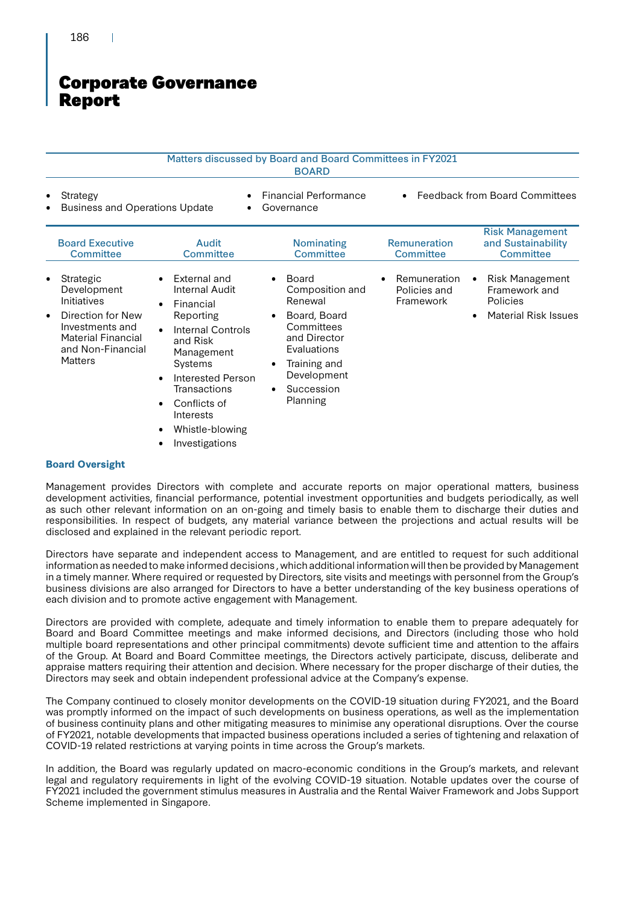|                                                                                                                                                                       |                                                                                                                                                                                                                                                                             | Matters discussed by Board and Board Committees in FY2021<br><b>BOARD</b>                                                                                 |                                                        |                                                                                           |
|-----------------------------------------------------------------------------------------------------------------------------------------------------------------------|-----------------------------------------------------------------------------------------------------------------------------------------------------------------------------------------------------------------------------------------------------------------------------|-----------------------------------------------------------------------------------------------------------------------------------------------------------|--------------------------------------------------------|-------------------------------------------------------------------------------------------|
| Strategy<br>٠<br><b>Business and Operations Update</b>                                                                                                                |                                                                                                                                                                                                                                                                             | <b>Financial Performance</b><br>Governance                                                                                                                |                                                        | <b>Feedback from Board Committees</b>                                                     |
| <b>Board Executive</b><br><b>Committee</b>                                                                                                                            | Audit<br><b>Committee</b>                                                                                                                                                                                                                                                   | <b>Nominating</b><br>Committee                                                                                                                            | <b>Remuneration</b><br><b>Committee</b>                | <b>Risk Management</b><br>and Sustainability<br>Committee                                 |
| Strategic<br>٠<br>Development<br>Initiatives<br>Direction for New<br>$\bullet$<br>Investments and<br><b>Material Financial</b><br>and Non-Financial<br><b>Matters</b> | External and<br>Internal Audit<br>Financial<br>$\bullet$<br>Reporting<br><b>Internal Controls</b><br>and Risk<br>Management<br><b>Systems</b><br>Interested Person<br>Transactions<br>Conflicts of<br>$\bullet$<br>Interests<br>Whistle-blowing<br>٠<br>Investigations<br>٠ | Board<br>Composition and<br>Renewal<br>Board, Board<br>Committees<br>and Director<br>Evaluations<br>Training and<br>Development<br>Succession<br>Planning | Remuneration<br>$\bullet$<br>Policies and<br>Framework | <b>Risk Management</b><br>Framework and<br><b>Policies</b><br><b>Material Risk Issues</b> |

### **Board Oversight**

Management provides Directors with complete and accurate reports on major operational matters, business development activities, financial performance, potential investment opportunities and budgets periodically, as well as such other relevant information on an on-going and timely basis to enable them to discharge their duties and responsibilities. In respect of budgets, any material variance between the projections and actual results will be disclosed and explained in the relevant periodic report.

Directors have separate and independent access to Management, and are entitled to request for such additional information as needed to make informed decisions , which additional information will then be provided by Management in a timely manner. Where required or requested by Directors, site visits and meetings with personnel from the Group's business divisions are also arranged for Directors to have a better understanding of the key business operations of each division and to promote active engagement with Management.

Directors are provided with complete, adequate and timely information to enable them to prepare adequately for Board and Board Committee meetings and make informed decisions, and Directors (including those who hold multiple board representations and other principal commitments) devote sufficient time and attention to the affairs of the Group. At Board and Board Committee meetings, the Directors actively participate, discuss, deliberate and appraise matters requiring their attention and decision. Where necessary for the proper discharge of their duties, the Directors may seek and obtain independent professional advice at the Company's expense.

The Company continued to closely monitor developments on the COVID-19 situation during FY2021, and the Board was promptly informed on the impact of such developments on business operations, as well as the implementation of business continuity plans and other mitigating measures to minimise any operational disruptions. Over the course of FY2021, notable developments that impacted business operations included a series of tightening and relaxation of COVID-19 related restrictions at varying points in time across the Group's markets.

In addition, the Board was regularly updated on macro-economic conditions in the Group's markets, and relevant legal and regulatory requirements in light of the evolving COVID-19 situation. Notable updates over the course of FY2021 included the government stimulus measures in Australia and the Rental Waiver Framework and Jobs Support Scheme implemented in Singapore.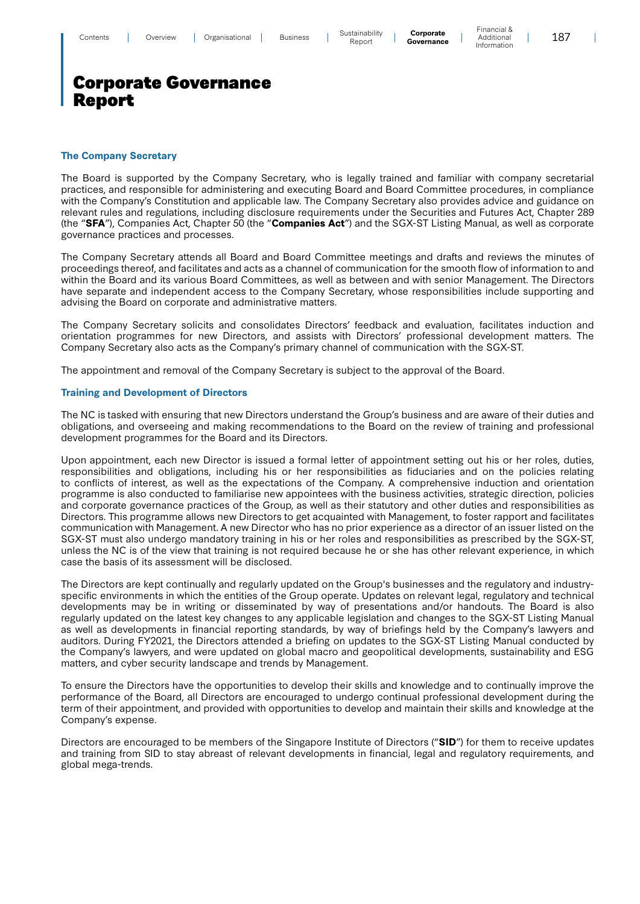### **The Company Secretary**

The Board is supported by the Company Secretary, who is legally trained and familiar with company secretarial practices, and responsible for administering and executing Board and Board Committee procedures, in compliance with the Company's Constitution and applicable law. The Company Secretary also provides advice and guidance on relevant rules and regulations, including disclosure requirements under the Securities and Futures Act, Chapter 289 (the "**SFA**"), Companies Act, Chapter 50 (the "**Companies Act**") and the SGX-ST Listing Manual, as well as corporate governance practices and processes.

The Company Secretary attends all Board and Board Committee meetings and drafts and reviews the minutes of proceedings thereof, and facilitates and acts as a channel of communication for the smooth flow of information to and within the Board and its various Board Committees, as well as between and with senior Management. The Directors have separate and independent access to the Company Secretary, whose responsibilities include supporting and advising the Board on corporate and administrative matters.

The Company Secretary solicits and consolidates Directors' feedback and evaluation, facilitates induction and orientation programmes for new Directors, and assists with Directors' professional development matters. The Company Secretary also acts as the Company's primary channel of communication with the SGX-ST.

The appointment and removal of the Company Secretary is subject to the approval of the Board.

### **Training and Development of Directors**

The NC is tasked with ensuring that new Directors understand the Group's business and are aware of their duties and obligations, and overseeing and making recommendations to the Board on the review of training and professional development programmes for the Board and its Directors.

Upon appointment, each new Director is issued a formal letter of appointment setting out his or her roles, duties, responsibilities and obligations, including his or her responsibilities as fiduciaries and on the policies relating to conflicts of interest, as well as the expectations of the Company. A comprehensive induction and orientation programme is also conducted to familiarise new appointees with the business activities, strategic direction, policies and corporate governance practices of the Group, as well as their statutory and other duties and responsibilities as Directors. This programme allows new Directors to get acquainted with Management, to foster rapport and facilitates communication with Management. A new Director who has no prior experience as a director of an issuer listed on the SGX-ST must also undergo mandatory training in his or her roles and responsibilities as prescribed by the SGX-ST, unless the NC is of the view that training is not required because he or she has other relevant experience, in which case the basis of its assessment will be disclosed.

The Directors are kept continually and regularly updated on the Group's businesses and the regulatory and industryspecific environments in which the entities of the Group operate. Updates on relevant legal, regulatory and technical developments may be in writing or disseminated by way of presentations and/or handouts. The Board is also regularly updated on the latest key changes to any applicable legislation and changes to the SGX-ST Listing Manual as well as developments in financial reporting standards, by way of briefings held by the Company's lawyers and auditors. During FY2021, the Directors attended a briefing on updates to the SGX-ST Listing Manual conducted by the Company's lawyers, and were updated on global macro and geopolitical developments, sustainability and ESG matters, and cyber security landscape and trends by Management.

To ensure the Directors have the opportunities to develop their skills and knowledge and to continually improve the performance of the Board, all Directors are encouraged to undergo continual professional development during the term of their appointment, and provided with opportunities to develop and maintain their skills and knowledge at the Company's expense.

Directors are encouraged to be members of the Singapore Institute of Directors ("**SID**") for them to receive updates and training from SID to stay abreast of relevant developments in financial, legal and regulatory requirements, and global mega-trends.

 $\overline{\phantom{a}}$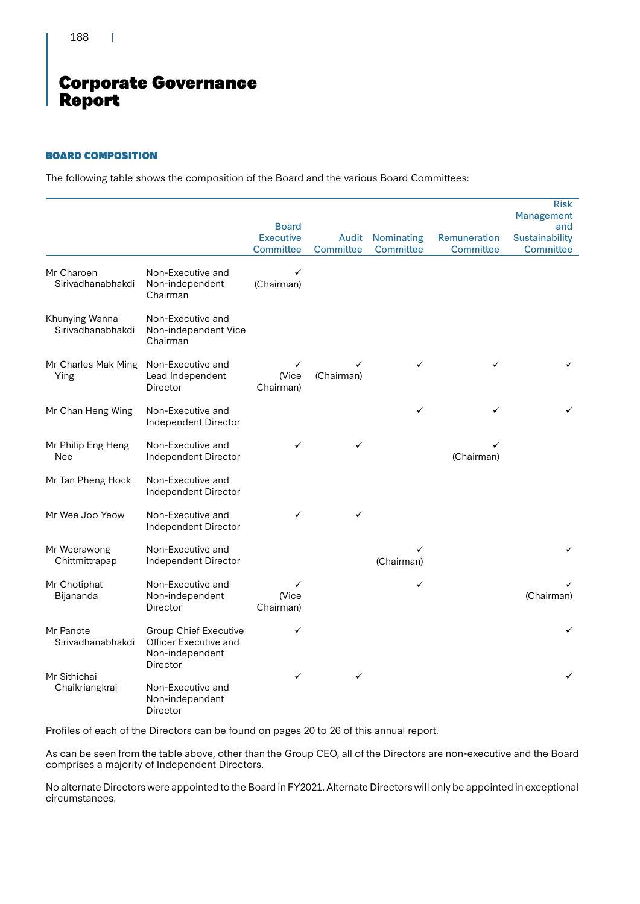188

 $\mathbf{I}$ 

# Corporate Governance Report

### BOARD COMPOSITION

The following table shows the composition of the Board and the various Board Committees:

|                                     |                                                                          |                                      |                           |                                       |                                  | <b>Risk</b><br>Management                 |
|-------------------------------------|--------------------------------------------------------------------------|--------------------------------------|---------------------------|---------------------------------------|----------------------------------|-------------------------------------------|
|                                     |                                                                          | <b>Board</b>                         |                           |                                       |                                  | and                                       |
|                                     |                                                                          | <b>Executive</b><br><b>Committee</b> | Audit<br><b>Committee</b> | <b>Nominating</b><br><b>Committee</b> | Remuneration<br><b>Committee</b> | <b>Sustainability</b><br><b>Committee</b> |
| Mr Charoen<br>Sirivadhanabhakdi     | Non-Executive and<br>Non-independent<br>Chairman                         | ✓<br>(Chairman)                      |                           |                                       |                                  |                                           |
| Khunying Wanna<br>Sirivadhanabhakdi | Non-Executive and<br>Non-independent Vice<br>Chairman                    |                                      |                           |                                       |                                  |                                           |
| Mr Charles Mak Ming<br>Ying         | Non-Executive and<br>Lead Independent<br>Director                        | ✓<br>(Vice<br>Chairman)              | (Chairman)                | ✓                                     | ✓                                |                                           |
| Mr Chan Heng Wing                   | Non-Executive and<br>Independent Director                                |                                      |                           | ✓                                     | ✓                                |                                           |
| Mr Philip Eng Heng<br>Nee           | Non-Executive and<br>Independent Director                                | ✓                                    | ✓                         |                                       | (Chairman)                       |                                           |
| Mr Tan Pheng Hock                   | Non-Executive and<br>Independent Director                                |                                      |                           |                                       |                                  |                                           |
| Mr Wee Joo Yeow                     | Non-Executive and<br>Independent Director                                | $\checkmark$                         | ✓                         |                                       |                                  |                                           |
| Mr Weerawong<br>Chittmittrapap      | Non-Executive and<br>Independent Director                                |                                      |                           | (Chairman)                            |                                  | ✓                                         |
| Mr Chotiphat<br>Bijananda           | Non-Executive and<br>Non-independent<br>Director                         | (Vice<br>Chairman)                   |                           | ✓                                     |                                  | (Chairman)                                |
| Mr Panote<br>Sirivadhanabhakdi      | <b>Group Chief Executive</b><br>Officer Executive and<br>Non-independent | ✓                                    |                           |                                       |                                  | ✓                                         |
| Mr Sithichai<br>Chaikriangkrai      | Director<br>Non-Executive and<br>Non-independent<br>Director             | ✓                                    | ✓                         |                                       |                                  | ✓                                         |

Profiles of each of the Directors can be found on pages 20 to 26 of this annual report.

As can be seen from the table above, other than the Group CEO, all of the Directors are non-executive and the Board comprises a majority of Independent Directors.

No alternate Directors were appointed to the Board in FY2021. Alternate Directors will only be appointed in exceptional circumstances.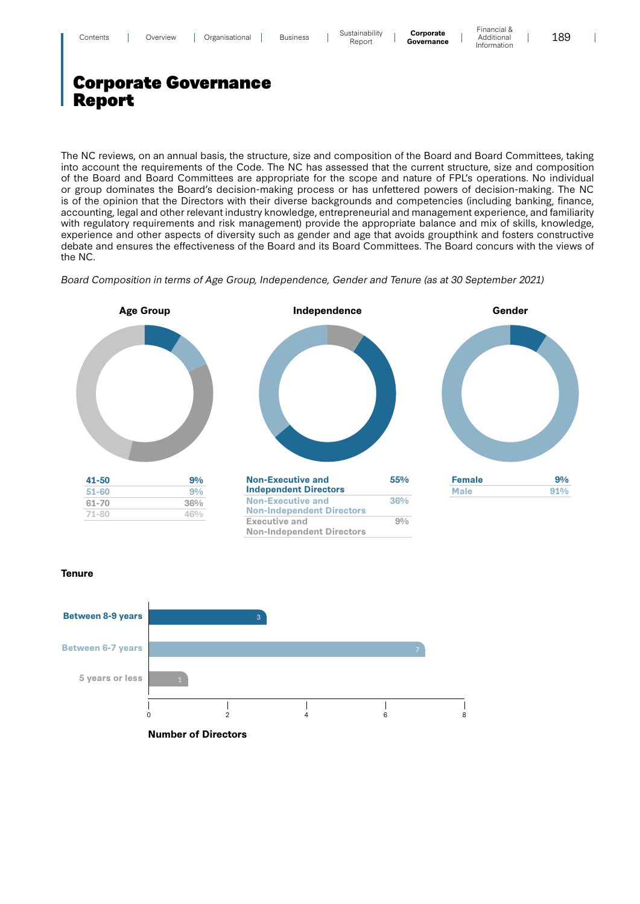| Contents |  | Overview |  | Organisational |  | <b>Business</b> |  | Sustainabilitv<br>Report | Corporate<br>Governance | Financial &<br>Additional<br>Intormation |  | 189 |
|----------|--|----------|--|----------------|--|-----------------|--|--------------------------|-------------------------|------------------------------------------|--|-----|
|----------|--|----------|--|----------------|--|-----------------|--|--------------------------|-------------------------|------------------------------------------|--|-----|

The NC reviews, on an annual basis, the structure, size and composition of the Board and Board Committees, taking into account the requirements of the Code. The NC has assessed that the current structure, size and composition of the Board and Board Committees are appropriate for the scope and nature of FPL's operations. No individual or group dominates the Board's decision-making process or has unfettered powers of decision-making. The NC is of the opinion that the Directors with their diverse backgrounds and competencies (including banking, finance, accounting, legal and other relevant industry knowledge, entrepreneurial and management experience, and familiarity with regulatory requirements and risk management) provide the appropriate balance and mix of skills, knowledge, experience and other aspects of diversity such as gender and age that avoids groupthink and fosters constructive debate and ensures the effectiveness of the Board and its Board Committees. The Board concurs with the views of the NC.

Board Composition in terms of Age Group, Independence, Gender and Tenure (as at 30 September 2021)







 $\overline{\phantom{a}}$ 

### **Tenure**

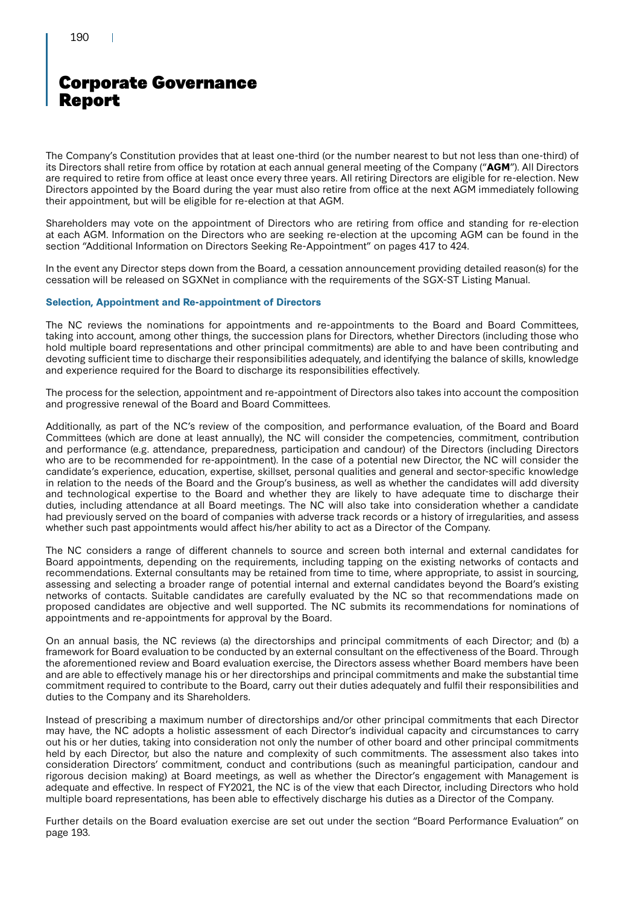The Company's Constitution provides that at least one-third (or the number nearest to but not less than one-third) of its Directors shall retire from office by rotation at each annual general meeting of the Company ("**AGM**"). All Directors are required to retire from office at least once every three years. All retiring Directors are eligible for re-election. New Directors appointed by the Board during the year must also retire from office at the next AGM immediately following their appointment, but will be eligible for re-election at that AGM.

Shareholders may vote on the appointment of Directors who are retiring from office and standing for re-election at each AGM. Information on the Directors who are seeking re-election at the upcoming AGM can be found in the section "Additional Information on Directors Seeking Re-Appointment" on pages 417 to 424.

In the event any Director steps down from the Board, a cessation announcement providing detailed reason(s) for the cessation will be released on SGXNet in compliance with the requirements of the SGX-ST Listing Manual.

### **Selection, Appointment and Re-appointment of Directors**

The NC reviews the nominations for appointments and re-appointments to the Board and Board Committees, taking into account, among other things, the succession plans for Directors, whether Directors (including those who hold multiple board representations and other principal commitments) are able to and have been contributing and devoting sufficient time to discharge their responsibilities adequately, and identifying the balance of skills, knowledge and experience required for the Board to discharge its responsibilities effectively.

The process for the selection, appointment and re-appointment of Directors also takes into account the composition and progressive renewal of the Board and Board Committees.

Additionally, as part of the NC's review of the composition, and performance evaluation, of the Board and Board Committees (which are done at least annually), the NC will consider the competencies, commitment, contribution and performance (e.g. attendance, preparedness, participation and candour) of the Directors (including Directors who are to be recommended for re-appointment). In the case of a potential new Director, the NC will consider the candidate's experience, education, expertise, skillset, personal qualities and general and sector-specific knowledge in relation to the needs of the Board and the Group's business, as well as whether the candidates will add diversity and technological expertise to the Board and whether they are likely to have adequate time to discharge their duties, including attendance at all Board meetings. The NC will also take into consideration whether a candidate had previously served on the board of companies with adverse track records or a history of irregularities, and assess whether such past appointments would affect his/her ability to act as a Director of the Company.

The NC considers a range of different channels to source and screen both internal and external candidates for Board appointments, depending on the requirements, including tapping on the existing networks of contacts and recommendations. External consultants may be retained from time to time, where appropriate, to assist in sourcing, assessing and selecting a broader range of potential internal and external candidates beyond the Board's existing networks of contacts. Suitable candidates are carefully evaluated by the NC so that recommendations made on proposed candidates are objective and well supported. The NC submits its recommendations for nominations of appointments and re-appointments for approval by the Board.

On an annual basis, the NC reviews (a) the directorships and principal commitments of each Director; and (b) a framework for Board evaluation to be conducted by an external consultant on the effectiveness of the Board. Through the aforementioned review and Board evaluation exercise, the Directors assess whether Board members have been and are able to effectively manage his or her directorships and principal commitments and make the substantial time commitment required to contribute to the Board, carry out their duties adequately and fulfil their responsibilities and duties to the Company and its Shareholders.

Instead of prescribing a maximum number of directorships and/or other principal commitments that each Director may have, the NC adopts a holistic assessment of each Director's individual capacity and circumstances to carry out his or her duties, taking into consideration not only the number of other board and other principal commitments held by each Director, but also the nature and complexity of such commitments. The assessment also takes into consideration Directors' commitment, conduct and contributions (such as meaningful participation, candour and rigorous decision making) at Board meetings, as well as whether the Director's engagement with Management is adequate and effective. In respect of FY2021, the NC is of the view that each Director, including Directors who hold multiple board representations, has been able to effectively discharge his duties as a Director of the Company.

Further details on the Board evaluation exercise are set out under the section "Board Performance Evaluation" on page 193.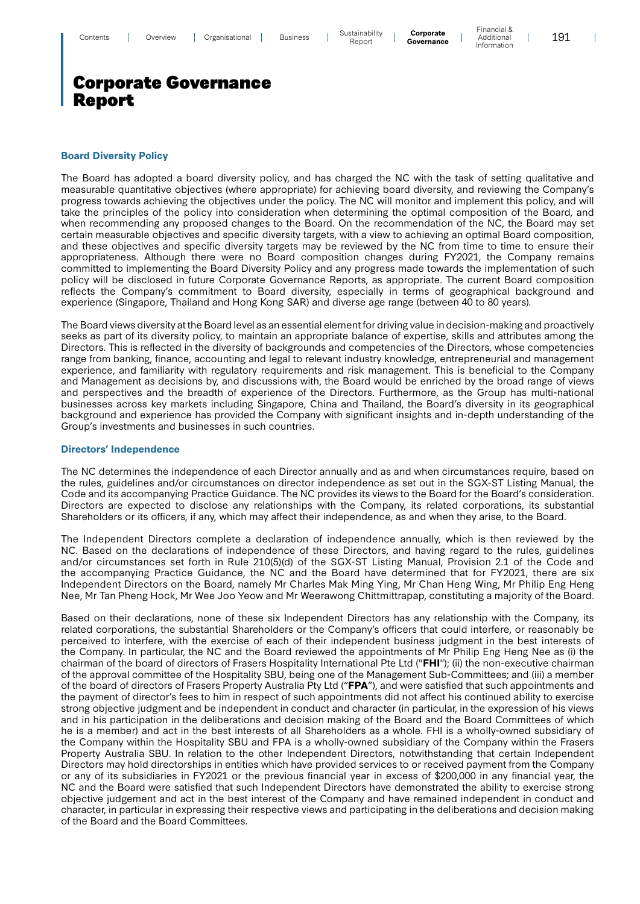Financial & Additional Information

 $\overline{\phantom{a}}$ 

# Corporate Governance Report

### **Board Diversity Policy**

The Board has adopted a board diversity policy, and has charged the NC with the task of setting qualitative and measurable quantitative objectives (where appropriate) for achieving board diversity, and reviewing the Company's progress towards achieving the objectives under the policy. The NC will monitor and implement this policy, and will take the principles of the policy into consideration when determining the optimal composition of the Board, and when recommending any proposed changes to the Board. On the recommendation of the NC, the Board may set certain measurable objectives and specific diversity targets, with a view to achieving an optimal Board composition, and these objectives and specific diversity targets may be reviewed by the NC from time to time to ensure their appropriateness. Although there were no Board composition changes during FY2021, the Company remains committed to implementing the Board Diversity Policy and any progress made towards the implementation of such policy will be disclosed in future Corporate Governance Reports, as appropriate. The current Board composition reflects the Company's commitment to Board diversity, especially in terms of geographical background and experience (Singapore, Thailand and Hong Kong SAR) and diverse age range (between 40 to 80 years).

The Board views diversity at the Board level as an essential element for driving value in decision-making and proactively seeks as part of its diversity policy, to maintain an appropriate balance of expertise, skills and attributes among the Directors. This is reflected in the diversity of backgrounds and competencies of the Directors, whose competencies range from banking, finance, accounting and legal to relevant industry knowledge, entrepreneurial and management experience, and familiarity with regulatory requirements and risk management. This is beneficial to the Company and Management as decisions by, and discussions with, the Board would be enriched by the broad range of views and perspectives and the breadth of experience of the Directors. Furthermore, as the Group has multi-national businesses across key markets including Singapore, China and Thailand, the Board's diversity in its geographical background and experience has provided the Company with significant insights and in-depth understanding of the Group's investments and businesses in such countries.

#### **Directors' Independence**

The NC determines the independence of each Director annually and as and when circumstances require, based on the rules, guidelines and/or circumstances on director independence as set out in the SGX-ST Listing Manual, the Code and its accompanying Practice Guidance. The NC provides its views to the Board for the Board's consideration. Directors are expected to disclose any relationships with the Company, its related corporations, its substantial Shareholders or its officers, if any, which may affect their independence, as and when they arise, to the Board.

The Independent Directors complete a declaration of independence annually, which is then reviewed by the NC. Based on the declarations of independence of these Directors, and having regard to the rules, guidelines and/or circumstances set forth in Rule 210(5)(d) of the SGX-ST Listing Manual, Provision 2.1 of the Code and the accompanying Practice Guidance, the NC and the Board have determined that for FY2021, there are six Independent Directors on the Board, namely Mr Charles Mak Ming Ying, Mr Chan Heng Wing, Mr Philip Eng Heng Nee, Mr Tan Pheng Hock, Mr Wee Joo Yeow and Mr Weerawong Chittmittrapap, constituting a majority of the Board.

Based on their declarations, none of these six Independent Directors has any relationship with the Company, its related corporations, the substantial Shareholders or the Company's officers that could interfere, or reasonably be perceived to interfere, with the exercise of each of their independent business judgment in the best interests of the Company. In particular, the NC and the Board reviewed the appointments of Mr Philip Eng Heng Nee as (i) the chairman of the board of directors of Frasers Hospitality International Pte Ltd ("**FHI**"); (ii) the non-executive chairman of the approval committee of the Hospitality SBU, being one of the Management Sub-Committees; and (iii) a member of the board of directors of Frasers Property Australia Pty Ltd ("**FPA**"), and were satisfied that such appointments and the payment of director's fees to him in respect of such appointments did not affect his continued ability to exercise strong objective judgment and be independent in conduct and character (in particular, in the expression of his views and in his participation in the deliberations and decision making of the Board and the Board Committees of which he is a member) and act in the best interests of all Shareholders as a whole. FHI is a wholly-owned subsidiary of the Company within the Hospitality SBU and FPA is a wholly-owned subsidiary of the Company within the Frasers Property Australia SBU. In relation to the other Independent Directors, notwithstanding that certain Independent Directors may hold directorships in entities which have provided services to or received payment from the Company or any of its subsidiaries in FY2021 or the previous financial year in excess of \$200,000 in any financial year, the NC and the Board were satisfied that such Independent Directors have demonstrated the ability to exercise strong objective judgement and act in the best interest of the Company and have remained independent in conduct and character, in particular in expressing their respective views and participating in the deliberations and decision making of the Board and the Board Committees.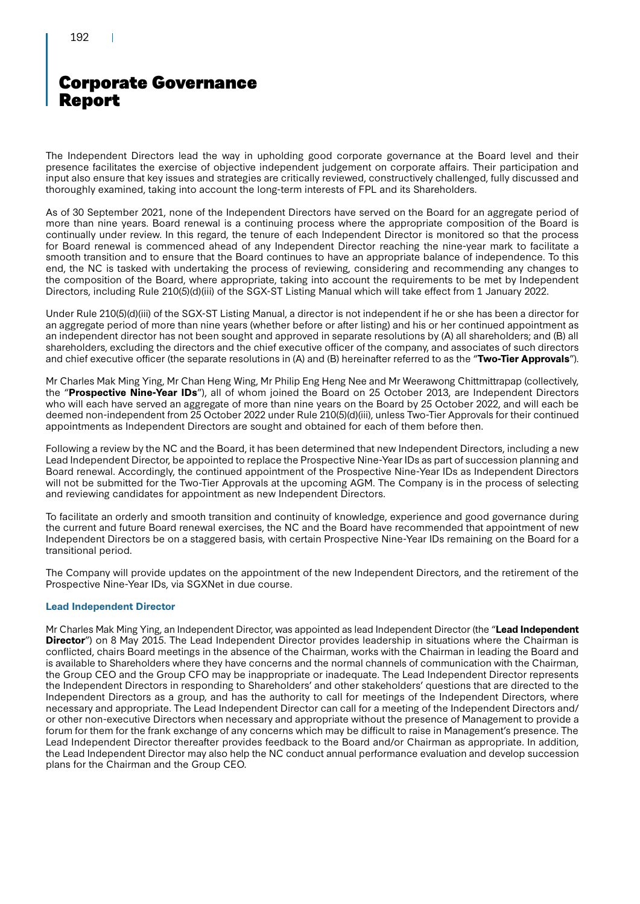The Independent Directors lead the way in upholding good corporate governance at the Board level and their presence facilitates the exercise of objective independent judgement on corporate affairs. Their participation and input also ensure that key issues and strategies are critically reviewed, constructively challenged, fully discussed and thoroughly examined, taking into account the long-term interests of FPL and its Shareholders.

As of 30 September 2021, none of the Independent Directors have served on the Board for an aggregate period of more than nine years. Board renewal is a continuing process where the appropriate composition of the Board is continually under review. In this regard, the tenure of each Independent Director is monitored so that the process for Board renewal is commenced ahead of any Independent Director reaching the nine-year mark to facilitate a smooth transition and to ensure that the Board continues to have an appropriate balance of independence. To this end, the NC is tasked with undertaking the process of reviewing, considering and recommending any changes to the composition of the Board, where appropriate, taking into account the requirements to be met by Independent Directors, including Rule 210(5)(d)(iii) of the SGX-ST Listing Manual which will take effect from 1 January 2022.

Under Rule 210(5)(d)(iii) of the SGX-ST Listing Manual, a director is not independent if he or she has been a director for an aggregate period of more than nine years (whether before or after listing) and his or her continued appointment as an independent director has not been sought and approved in separate resolutions by (A) all shareholders; and (B) all shareholders, excluding the directors and the chief executive officer of the company, and associates of such directors and chief executive officer (the separate resolutions in (A) and (B) hereinafter referred to as the "**Two-Tier Approvals**").

Mr Charles Mak Ming Ying, Mr Chan Heng Wing, Mr Philip Eng Heng Nee and Mr Weerawong Chittmittrapap (collectively, the "**Prospective Nine-Year IDs**"), all of whom joined the Board on 25 October 2013, are Independent Directors who will each have served an aggregate of more than nine years on the Board by 25 October 2022, and will each be deemed non-independent from 25 October 2022 under Rule 210(5)(d)(iii), unless Two-Tier Approvals for their continued appointments as Independent Directors are sought and obtained for each of them before then.

Following a review by the NC and the Board, it has been determined that new Independent Directors, including a new Lead Independent Director, be appointed to replace the Prospective Nine-Year IDs as part of succession planning and Board renewal. Accordingly, the continued appointment of the Prospective Nine-Year IDs as Independent Directors will not be submitted for the Two-Tier Approvals at the upcoming AGM. The Company is in the process of selecting and reviewing candidates for appointment as new Independent Directors.

To facilitate an orderly and smooth transition and continuity of knowledge, experience and good governance during the current and future Board renewal exercises, the NC and the Board have recommended that appointment of new Independent Directors be on a staggered basis, with certain Prospective Nine-Year IDs remaining on the Board for a transitional period.

The Company will provide updates on the appointment of the new Independent Directors, and the retirement of the Prospective Nine-Year IDs, via SGXNet in due course.

### **Lead Independent Director**

Mr Charles Mak Ming Ying, an Independent Director, was appointed as lead Independent Director (the "**Lead Independent Director**") on 8 May 2015. The Lead Independent Director provides leadership in situations where the Chairman is conflicted, chairs Board meetings in the absence of the Chairman, works with the Chairman in leading the Board and is available to Shareholders where they have concerns and the normal channels of communication with the Chairman, the Group CEO and the Group CFO may be inappropriate or inadequate. The Lead Independent Director represents the Independent Directors in responding to Shareholders' and other stakeholders' questions that are directed to the Independent Directors as a group, and has the authority to call for meetings of the Independent Directors, where necessary and appropriate. The Lead Independent Director can call for a meeting of the Independent Directors and/ or other non-executive Directors when necessary and appropriate without the presence of Management to provide a forum for them for the frank exchange of any concerns which may be difficult to raise in Management's presence. The Lead Independent Director thereafter provides feedback to the Board and/or Chairman as appropriate. In addition, the Lead Independent Director may also help the NC conduct annual performance evaluation and develop succession plans for the Chairman and the Group CEO.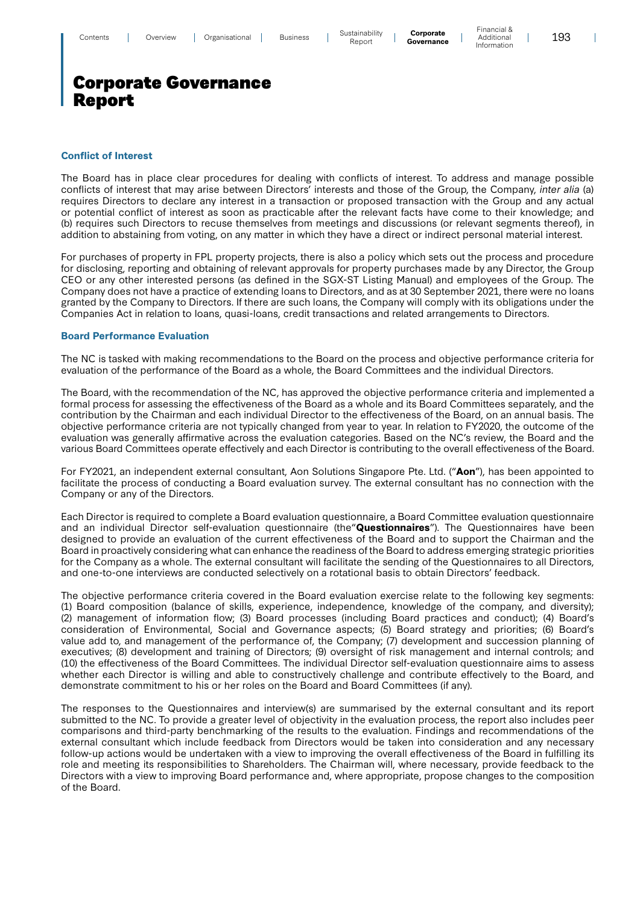#### **Conflict of Interest**

The Board has in place clear procedures for dealing with conflicts of interest. To address and manage possible conflicts of interest that may arise between Directors' interests and those of the Group, the Company, inter alia (a) requires Directors to declare any interest in a transaction or proposed transaction with the Group and any actual or potential conflict of interest as soon as practicable after the relevant facts have come to their knowledge; and (b) requires such Directors to recuse themselves from meetings and discussions (or relevant segments thereof), in addition to abstaining from voting, on any matter in which they have a direct or indirect personal material interest.

For purchases of property in FPL property projects, there is also a policy which sets out the process and procedure for disclosing, reporting and obtaining of relevant approvals for property purchases made by any Director, the Group CEO or any other interested persons (as defined in the SGX-ST Listing Manual) and employees of the Group. The Company does not have a practice of extending loans to Directors, and as at 30 September 2021, there were no loans granted by the Company to Directors. If there are such loans, the Company will comply with its obligations under the Companies Act in relation to loans, quasi-loans, credit transactions and related arrangements to Directors.

#### **Board Performance Evaluation**

The NC is tasked with making recommendations to the Board on the process and objective performance criteria for evaluation of the performance of the Board as a whole, the Board Committees and the individual Directors.

The Board, with the recommendation of the NC, has approved the objective performance criteria and implemented a formal process for assessing the effectiveness of the Board as a whole and its Board Committees separately, and the contribution by the Chairman and each individual Director to the effectiveness of the Board, on an annual basis. The objective performance criteria are not typically changed from year to year. In relation to FY2020, the outcome of the evaluation was generally affirmative across the evaluation categories. Based on the NC's review, the Board and the various Board Committees operate effectively and each Director is contributing to the overall effectiveness of the Board.

For FY2021, an independent external consultant, Aon Solutions Singapore Pte. Ltd. ("**Aon**"), has been appointed to facilitate the process of conducting a Board evaluation survey. The external consultant has no connection with the Company or any of the Directors.

Each Director is required to complete a Board evaluation questionnaire, a Board Committee evaluation questionnaire and an individual Director self-evaluation questionnaire (the"**Questionnaires**"). The Questionnaires have been designed to provide an evaluation of the current effectiveness of the Board and to support the Chairman and the Board in proactively considering what can enhance the readiness of the Board to address emerging strategic priorities for the Company as a whole. The external consultant will facilitate the sending of the Questionnaires to all Directors, and one-to-one interviews are conducted selectively on a rotational basis to obtain Directors' feedback.

The objective performance criteria covered in the Board evaluation exercise relate to the following key segments: (1) Board composition (balance of skills, experience, independence, knowledge of the company, and diversity); (2) management of information flow; (3) Board processes (including Board practices and conduct); (4) Board's consideration of Environmental, Social and Governance aspects; (5) Board strategy and priorities; (6) Board's value add to, and management of the performance of, the Company; (7) development and succession planning of executives; (8) development and training of Directors; (9) oversight of risk management and internal controls; and (10) the effectiveness of the Board Committees. The individual Director self-evaluation questionnaire aims to assess whether each Director is willing and able to constructively challenge and contribute effectively to the Board, and demonstrate commitment to his or her roles on the Board and Board Committees (if any).

The responses to the Questionnaires and interview(s) are summarised by the external consultant and its report submitted to the NC. To provide a greater level of objectivity in the evaluation process, the report also includes peer comparisons and third-party benchmarking of the results to the evaluation. Findings and recommendations of the external consultant which include feedback from Directors would be taken into consideration and any necessary follow-up actions would be undertaken with a view to improving the overall effectiveness of the Board in fulfilling its role and meeting its responsibilities to Shareholders. The Chairman will, where necessary, provide feedback to the Directors with a view to improving Board performance and, where appropriate, propose changes to the composition of the Board.

 $\overline{\phantom{a}}$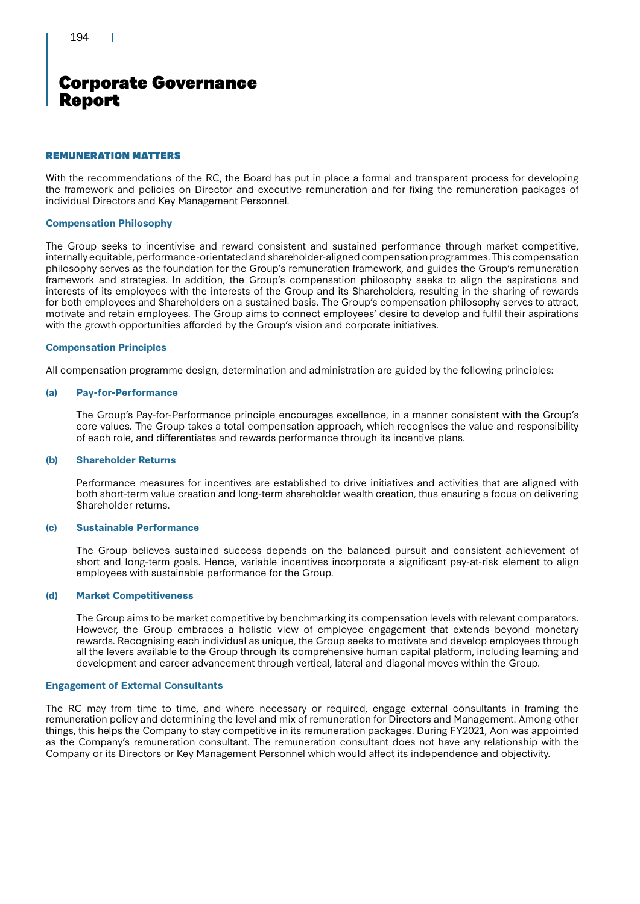### REMUNERATION MATTERS

With the recommendations of the RC, the Board has put in place a formal and transparent process for developing the framework and policies on Director and executive remuneration and for fixing the remuneration packages of individual Directors and Key Management Personnel.

### **Compensation Philosophy**

The Group seeks to incentivise and reward consistent and sustained performance through market competitive, internally equitable, performance-orientated and shareholder-aligned compensation programmes. This compensation philosophy serves as the foundation for the Group's remuneration framework, and guides the Group's remuneration framework and strategies. In addition, the Group's compensation philosophy seeks to align the aspirations and interests of its employees with the interests of the Group and its Shareholders, resulting in the sharing of rewards for both employees and Shareholders on a sustained basis. The Group's compensation philosophy serves to attract, motivate and retain employees. The Group aims to connect employees' desire to develop and fulfil their aspirations with the growth opportunities afforded by the Group's vision and corporate initiatives.

### **Compensation Principles**

All compensation programme design, determination and administration are guided by the following principles:

### **(a) Pay-for-Performance**

The Group's Pay-for-Performance principle encourages excellence, in a manner consistent with the Group's core values. The Group takes a total compensation approach, which recognises the value and responsibility of each role, and differentiates and rewards performance through its incentive plans.

### **(b) Shareholder Returns**

Performance measures for incentives are established to drive initiatives and activities that are aligned with both short-term value creation and long-term shareholder wealth creation, thus ensuring a focus on delivering Shareholder returns.

### **(c) Sustainable Performance**

The Group believes sustained success depends on the balanced pursuit and consistent achievement of short and long-term goals. Hence, variable incentives incorporate a significant pay-at-risk element to align employees with sustainable performance for the Group.

### **(d) Market Competitiveness**

The Group aims to be market competitive by benchmarking its compensation levels with relevant comparators. However, the Group embraces a holistic view of employee engagement that extends beyond monetary rewards. Recognising each individual as unique, the Group seeks to motivate and develop employees through all the levers available to the Group through its comprehensive human capital platform, including learning and development and career advancement through vertical, lateral and diagonal moves within the Group.

### **Engagement of External Consultants**

The RC may from time to time, and where necessary or required, engage external consultants in framing the remuneration policy and determining the level and mix of remuneration for Directors and Management. Among other things, this helps the Company to stay competitive in its remuneration packages. During FY2021, Aon was appointed as the Company's remuneration consultant. The remuneration consultant does not have any relationship with the Company or its Directors or Key Management Personnel which would affect its independence and objectivity.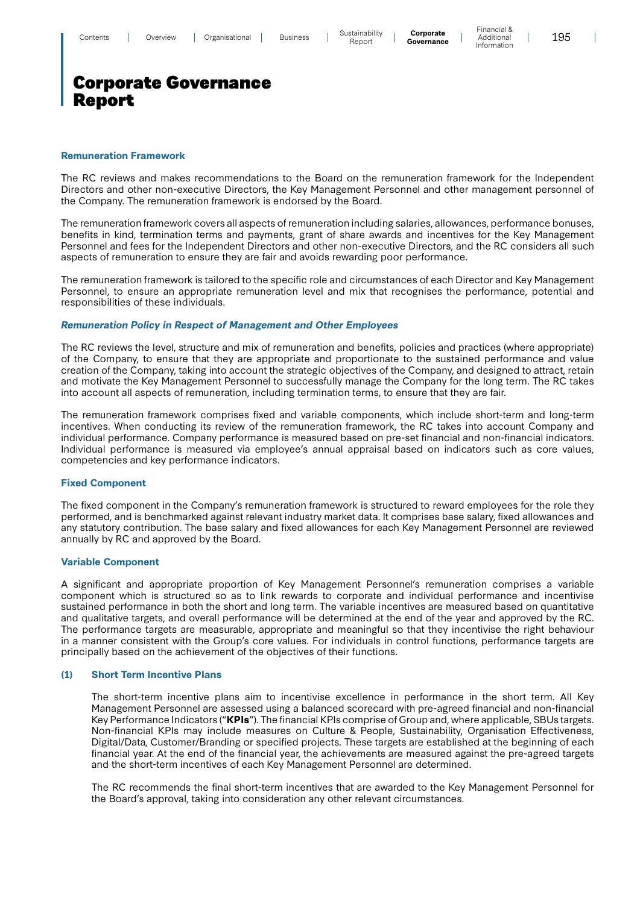#### **Remuneration Framework**

The RC reviews and makes recommendations to the Board on the remuneration framework for the Independent Directors and other non-executive Directors, the Key Management Personnel and other management personnel of the Company. The remuneration framework is endorsed by the Board.

The remuneration framework covers all aspects of remuneration including salaries, allowances, performance bonuses, benefits in kind, termination terms and payments, grant of share awards and incentives for the Key Management Personnel and fees for the Independent Directors and other non-executive Directors, and the RC considers all such aspects of remuneration to ensure they are fair and avoids rewarding poor performance.

The remuneration framework is tailored to the specific role and circumstances of each Director and Key Management Personnel, to ensure an appropriate remuneration level and mix that recognises the performance, potential and responsibilities of these individuals.

#### *Remuneration Policy in Respect of Management and Other Employees*

The RC reviews the level, structure and mix of remuneration and benefits, policies and practices (where appropriate) of the Company, to ensure that they are appropriate and proportionate to the sustained performance and value creation of the Company, taking into account the strategic objectives of the Company, and designed to attract, retain and motivate the Key Management Personnel to successfully manage the Company for the long term. The RC takes into account all aspects of remuneration, including termination terms, to ensure that they are fair.

The remuneration framework comprises fixed and variable components, which include short-term and long-term incentives. When conducting its review of the remuneration framework, the RC takes into account Company and individual performance. Company performance is measured based on pre-set financial and non-financial indicators. Individual performance is measured via employee's annual appraisal based on indicators such as core values, competencies and key performance indicators.

#### **Fixed Component**

The fixed component in the Company's remuneration framework is structured to reward employees for the role they performed, and is benchmarked against relevant industry market data. It comprises base salary, fixed allowances and any statutory contribution. The base salary and fixed allowances for each Key Management Personnel are reviewed annually by RC and approved by the Board.

#### **Variable Component**

A significant and appropriate proportion of Key Management Personnel's remuneration comprises a variable component which is structured so as to link rewards to corporate and individual performance and incentivise sustained performance in both the short and long term. The variable incentives are measured based on quantitative and qualitative targets, and overall performance will be determined at the end of the year and approved by the RC. The performance targets are measurable, appropriate and meaningful so that they incentivise the right behaviour in a manner consistent with the Group's core values. For individuals in control functions, performance targets are principally based on the achievement of the objectives of their functions.

### **(1) Short Term Incentive Plans**

The short-term incentive plans aim to incentivise excellence in performance in the short term. All Key Management Personnel are assessed using a balanced scorecard with pre-agreed financial and non-financial Key Performance Indicators ("**KPIs**"). The financial KPIs comprise of Group and, where applicable, SBUs targets. Non-financial KPIs may include measures on Culture & People, Sustainability, Organisation Effectiveness, Digital/Data, Customer/Branding or specified projects. These targets are established at the beginning of each financial year. At the end of the financial year, the achievements are measured against the pre-agreed targets and the short-term incentives of each Key Management Personnel are determined.

The RC recommends the final short-term incentives that are awarded to the Key Management Personnel for the Board's approval, taking into consideration any other relevant circumstances.

 $\mathbf{I}$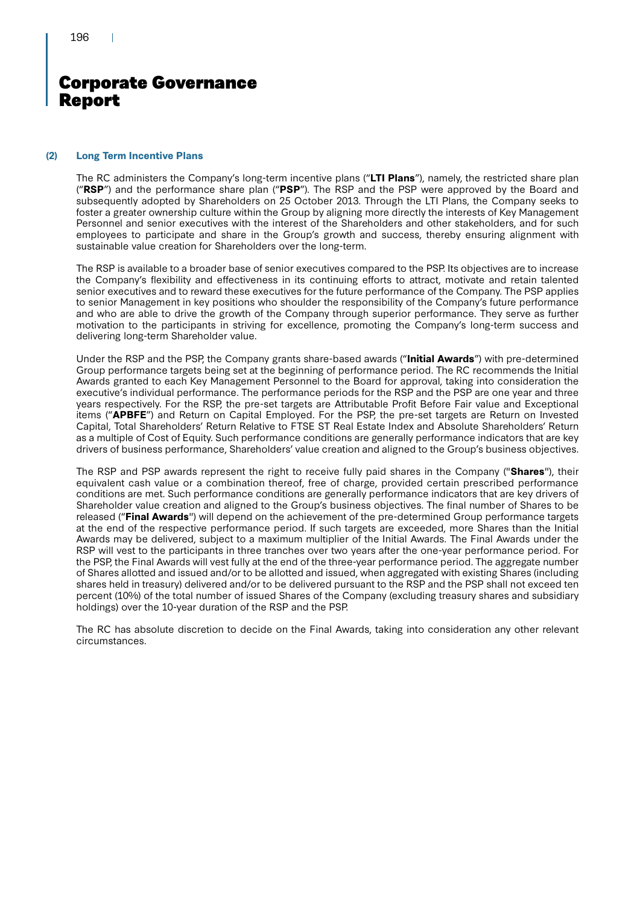### **(2) Long Term Incentive Plans**

The RC administers the Company's long-term incentive plans ("**LTI Plans**"), namely, the restricted share plan ("**RSP**") and the performance share plan ("**PSP**"). The RSP and the PSP were approved by the Board and subsequently adopted by Shareholders on 25 October 2013. Through the LTI Plans, the Company seeks to foster a greater ownership culture within the Group by aligning more directly the interests of Key Management Personnel and senior executives with the interest of the Shareholders and other stakeholders, and for such employees to participate and share in the Group's growth and success, thereby ensuring alignment with sustainable value creation for Shareholders over the long-term.

The RSP is available to a broader base of senior executives compared to the PSP. Its objectives are to increase the Company's flexibility and effectiveness in its continuing efforts to attract, motivate and retain talented senior executives and to reward these executives for the future performance of the Company. The PSP applies to senior Management in key positions who shoulder the responsibility of the Company's future performance and who are able to drive the growth of the Company through superior performance. They serve as further motivation to the participants in striving for excellence, promoting the Company's long-term success and delivering long-term Shareholder value.

Under the RSP and the PSP, the Company grants share-based awards ("**Initial Awards**") with pre-determined Group performance targets being set at the beginning of performance period. The RC recommends the Initial Awards granted to each Key Management Personnel to the Board for approval, taking into consideration the executive's individual performance. The performance periods for the RSP and the PSP are one year and three years respectively. For the RSP, the pre-set targets are Attributable Profit Before Fair value and Exceptional items ("**APBFE**") and Return on Capital Employed. For the PSP, the pre-set targets are Return on Invested Capital, Total Shareholders' Return Relative to FTSE ST Real Estate Index and Absolute Shareholders' Return as a multiple of Cost of Equity. Such performance conditions are generally performance indicators that are key drivers of business performance, Shareholders' value creation and aligned to the Group's business objectives.

The RSP and PSP awards represent the right to receive fully paid shares in the Company ("**Shares**"), their equivalent cash value or a combination thereof, free of charge, provided certain prescribed performance conditions are met. Such performance conditions are generally performance indicators that are key drivers of Shareholder value creation and aligned to the Group's business objectives. The final number of Shares to be released ("**Final Awards**") will depend on the achievement of the pre-determined Group performance targets at the end of the respective performance period. If such targets are exceeded, more Shares than the Initial Awards may be delivered, subject to a maximum multiplier of the Initial Awards. The Final Awards under the RSP will vest to the participants in three tranches over two years after the one-year performance period. For the PSP, the Final Awards will vest fully at the end of the three-year performance period. The aggregate number of Shares allotted and issued and/or to be allotted and issued, when aggregated with existing Shares (including shares held in treasury) delivered and/or to be delivered pursuant to the RSP and the PSP shall not exceed ten percent (10%) of the total number of issued Shares of the Company (excluding treasury shares and subsidiary holdings) over the 10-year duration of the RSP and the PSP.

The RC has absolute discretion to decide on the Final Awards, taking into consideration any other relevant circumstances.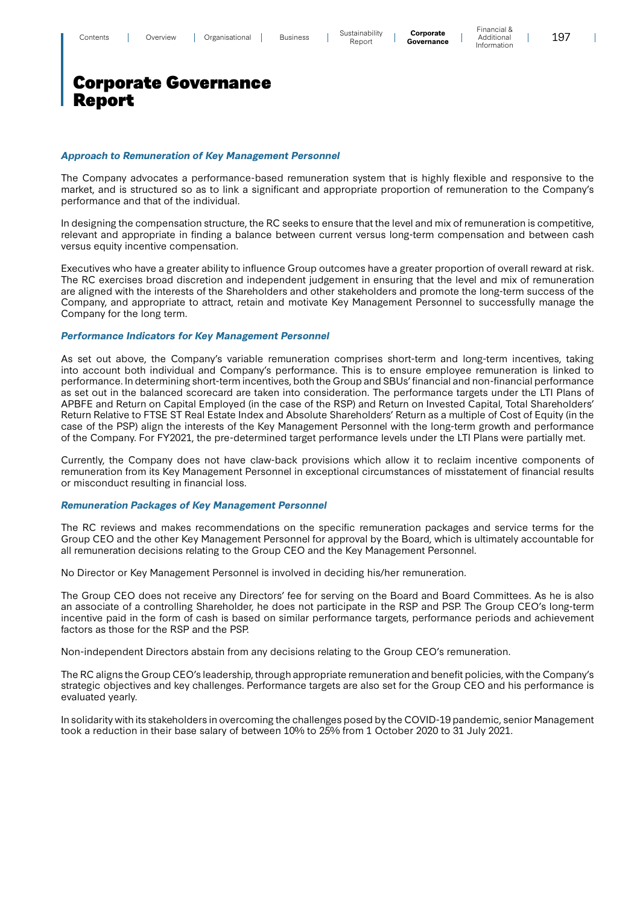Financial & Additional Information

 $\overline{\phantom{a}}$ 

### Corporate Governance Report

### *Approach to Remuneration of Key Management Personnel*

The Company advocates a performance-based remuneration system that is highly flexible and responsive to the market, and is structured so as to link a significant and appropriate proportion of remuneration to the Company's performance and that of the individual.

In designing the compensation structure, the RC seeks to ensure that the level and mix of remuneration is competitive, relevant and appropriate in finding a balance between current versus long-term compensation and between cash versus equity incentive compensation.

Executives who have a greater ability to influence Group outcomes have a greater proportion of overall reward at risk. The RC exercises broad discretion and independent judgement in ensuring that the level and mix of remuneration are aligned with the interests of the Shareholders and other stakeholders and promote the long-term success of the Company, and appropriate to attract, retain and motivate Key Management Personnel to successfully manage the Company for the long term.

### *Performance Indicators for Key Management Personnel*

As set out above, the Company's variable remuneration comprises short-term and long-term incentives, taking into account both individual and Company's performance. This is to ensure employee remuneration is linked to performance. In determining short-term incentives, both the Group and SBUs' financial and non-financial performance as set out in the balanced scorecard are taken into consideration. The performance targets under the LTI Plans of APBFE and Return on Capital Employed (in the case of the RSP) and Return on Invested Capital, Total Shareholders' Return Relative to FTSE ST Real Estate Index and Absolute Shareholders' Return as a multiple of Cost of Equity (in the case of the PSP) align the interests of the Key Management Personnel with the long-term growth and performance of the Company. For FY2021, the pre-determined target performance levels under the LTI Plans were partially met.

Currently, the Company does not have claw-back provisions which allow it to reclaim incentive components of remuneration from its Key Management Personnel in exceptional circumstances of misstatement of financial results or misconduct resulting in financial loss.

### *Remuneration Packages of Key Management Personnel*

The RC reviews and makes recommendations on the specific remuneration packages and service terms for the Group CEO and the other Key Management Personnel for approval by the Board, which is ultimately accountable for all remuneration decisions relating to the Group CEO and the Key Management Personnel.

No Director or Key Management Personnel is involved in deciding his/her remuneration.

The Group CEO does not receive any Directors' fee for serving on the Board and Board Committees. As he is also an associate of a controlling Shareholder, he does not participate in the RSP and PSP. The Group CEO's long-term incentive paid in the form of cash is based on similar performance targets, performance periods and achievement factors as those for the RSP and the PSP.

Non-independent Directors abstain from any decisions relating to the Group CEO's remuneration.

The RC aligns the Group CEO's leadership, through appropriate remuneration and benefit policies, with the Company's strategic objectives and key challenges. Performance targets are also set for the Group CEO and his performance is evaluated yearly.

In solidarity with its stakeholders in overcoming the challenges posed by the COVID-19 pandemic, senior Management took a reduction in their base salary of between 10% to 25% from 1 October 2020 to 31 July 2021.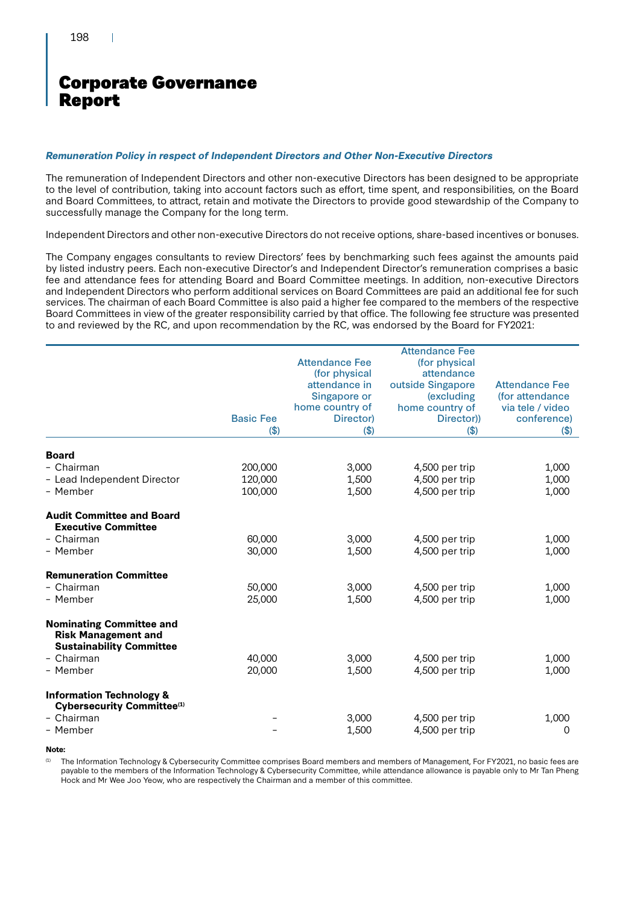H.

# Corporate Governance Report

### *Remuneration Policy in respect of Independent Directors and Other Non-Executive Directors*

The remuneration of Independent Directors and other non-executive Directors has been designed to be appropriate to the level of contribution, taking into account factors such as effort, time spent, and responsibilities, on the Board and Board Committees, to attract, retain and motivate the Directors to provide good stewardship of the Company to successfully manage the Company for the long term.

Independent Directors and other non-executive Directors do not receive options, share-based incentives or bonuses.

The Company engages consultants to review Directors' fees by benchmarking such fees against the amounts paid by listed industry peers. Each non-executive Director's and Independent Director's remuneration comprises a basic fee and attendance fees for attending Board and Board Committee meetings. In addition, non-executive Directors and Independent Directors who perform additional services on Board Committees are paid an additional fee for such services. The chairman of each Board Committee is also paid a higher fee compared to the members of the respective Board Committees in view of the greater responsibility carried by that office. The following fee structure was presented to and reviewed by the RC, and upon recommendation by the RC, was endorsed by the Board for FY2021:

|                                                                                                  |                  |                       | <b>Attendance Fee</b> |                       |
|--------------------------------------------------------------------------------------------------|------------------|-----------------------|-----------------------|-----------------------|
|                                                                                                  |                  | <b>Attendance Fee</b> | (for physical         |                       |
|                                                                                                  |                  | (for physical         | attendance            |                       |
|                                                                                                  |                  | attendance in         | outside Singapore     | <b>Attendance Fee</b> |
|                                                                                                  |                  | Singapore or          | (excluding            | (for attendance)      |
|                                                                                                  |                  | home country of       | home country of       | via tele / video      |
|                                                                                                  | <b>Basic Fee</b> | Director)             | Director))            | conference)           |
|                                                                                                  | \$)              | $($ \$)               | $($ \$)               | \$)                   |
| <b>Board</b>                                                                                     |                  |                       |                       |                       |
| - Chairman                                                                                       | 200,000          | 3,000                 | 4,500 per trip        | 1,000                 |
| - Lead Independent Director                                                                      | 120,000          | 1,500                 | 4,500 per trip        | 1,000                 |
| - Member                                                                                         | 100,000          | 1,500                 | 4,500 per trip        | 1,000                 |
| <b>Audit Committee and Board</b><br><b>Executive Committee</b>                                   |                  |                       |                       |                       |
| - Chairman                                                                                       | 60,000           | 3,000                 | 4,500 per trip        | 1,000                 |
| - Member                                                                                         | 30,000           | 1,500                 | 4,500 per trip        | 1,000                 |
| <b>Remuneration Committee</b>                                                                    |                  |                       |                       |                       |
| - Chairman                                                                                       | 50,000           | 3,000                 | 4,500 per trip        | 1,000                 |
| - Member                                                                                         | 25,000           | 1,500                 | 4,500 per trip        | 1,000                 |
| <b>Nominating Committee and</b><br><b>Risk Management and</b><br><b>Sustainability Committee</b> |                  |                       |                       |                       |
| - Chairman                                                                                       | 40,000           | 3,000                 | 4,500 per trip        | 1,000                 |
| - Member                                                                                         | 20,000           | 1,500                 | 4,500 per trip        | 1,000                 |
| <b>Information Technology &amp;</b><br>Cybersecurity Committee <sup>(1)</sup>                    |                  |                       |                       |                       |
| - Chairman                                                                                       |                  | 3,000                 | 4,500 per trip        | 1,000                 |
| - Member                                                                                         |                  | 1,500                 | 4,500 per trip        | 0                     |

**Note:**

(1) The Information Technology & Cybersecurity Committee comprises Board members and members of Management, For FY2021, no basic fees are payable to the members of the Information Technology & Cybersecurity Committee, while attendance allowance is payable only to Mr Tan Pheng Hock and Mr Wee Joo Yeow, who are respectively the Chairman and a member of this committee.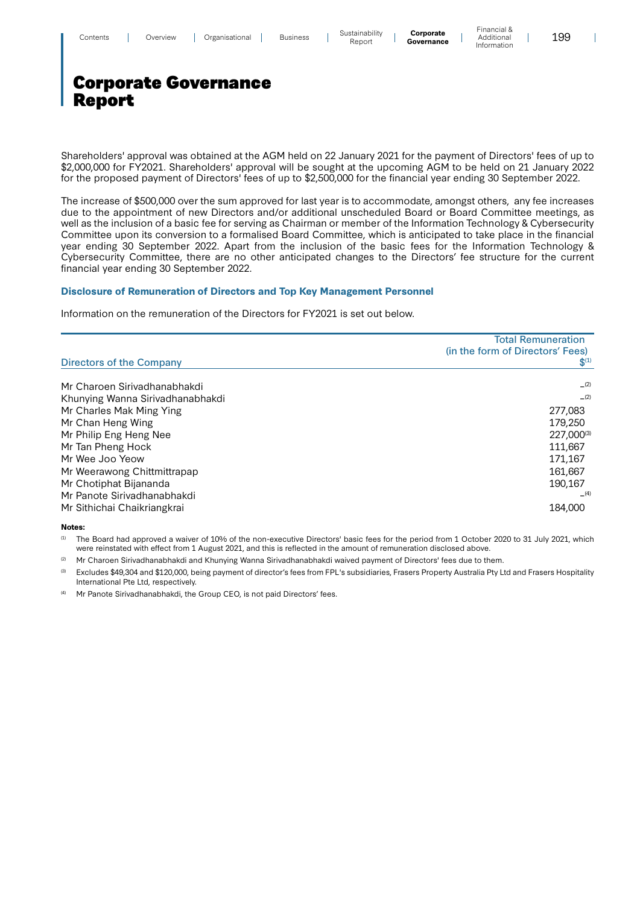$\mathbf{I}$ 

# Corporate Governance Report

Shareholders' approval was obtained at the AGM held on 22 January 2021 for the payment of Directors' fees of up to \$2,000,000 for FY2021. Shareholders' approval will be sought at the upcoming AGM to be held on 21 January 2022 for the proposed payment of Directors' fees of up to \$2,500,000 for the financial year ending 30 September 2022.

The increase of \$500,000 over the sum approved for last year is to accommodate, amongst others, any fee increases due to the appointment of new Directors and/or additional unscheduled Board or Board Committee meetings, as well as the inclusion of a basic fee for serving as Chairman or member of the Information Technology & Cybersecurity Committee upon its conversion to a formalised Board Committee, which is anticipated to take place in the financial year ending 30 September 2022. Apart from the inclusion of the basic fees for the Information Technology & Cybersecurity Committee, there are no other anticipated changes to the Directors' fee structure for the current financial year ending 30 September 2022.

### **Disclosure of Remuneration of Directors and Top Key Management Personnel**

Information on the remuneration of the Directors for FY2021 is set out below.

|                                  | <b>Total Remuneration</b><br>(in the form of Directors' Fees) |
|----------------------------------|---------------------------------------------------------------|
| Directors of the Company         | $S^{(1)}$                                                     |
| Mr Charoen Sirivadhanabhakdi     | (2)                                                           |
| Khunying Wanna Sirivadhanabhakdi | (2)                                                           |
| Mr Charles Mak Ming Ying         | 277,083                                                       |
| Mr Chan Heng Wing                | 179,250                                                       |
| Mr Philip Eng Heng Nee           | 227.000(3)                                                    |
| Mr Tan Pheng Hock                | 111.667                                                       |
| Mr Wee Joo Yeow                  | 171.167                                                       |
| Mr Weerawong Chittmittrapap      | 161,667                                                       |
| Mr Chotiphat Bijananda           | 190,167                                                       |
| Mr Panote Sirivadhanabhakdi      | (4)                                                           |
| Mr Sithichai Chaikriangkrai      | 184,000                                                       |

**Notes:** 

<sup>(1)</sup> The Board had approved a waiver of 10% of the non-executive Directors' basic fees for the period from 1 October 2020 to 31 July 2021, which were reinstated with effect from 1 August 2021, and this is reflected in the amount of remuneration disclosed above.

(2) Mr Charoen Sirivadhanabhakdi and Khunying Wanna Sirivadhanabhakdi waived payment of Directors' fees due to them.

Excludes \$49,304 and \$120,000, being payment of director's fees from FPL's subsidiaries, Frasers Property Australia Pty Ltd and Frasers Hospitality International Pte Ltd, respectively.

(4) Mr Panote Sirivadhanabhakdi, the Group CEO, is not paid Directors' fees.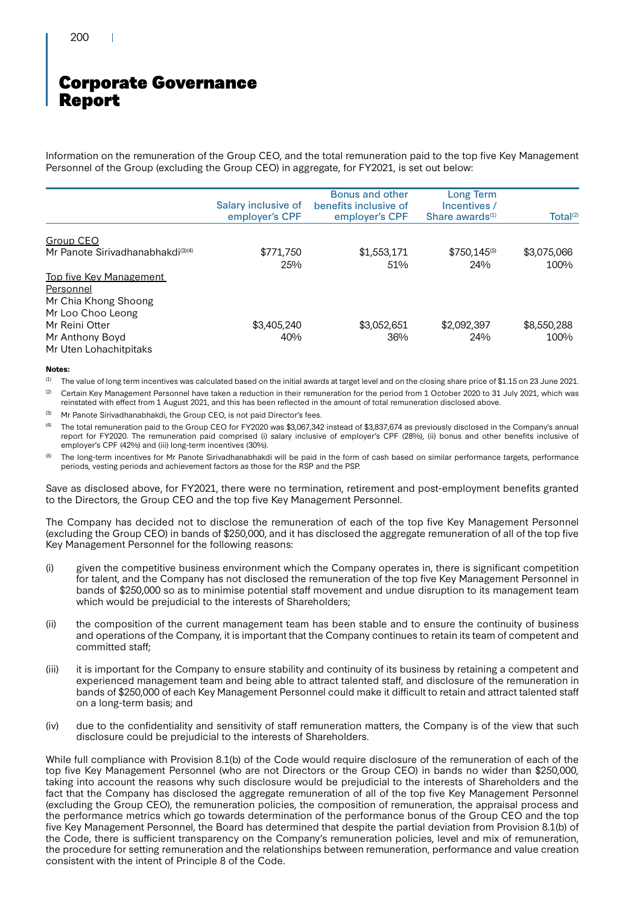Information on the remuneration of the Group CEO, and the total remuneration paid to the top five Key Management Personnel of the Group (excluding the Group CEO) in aggregate, for FY2021, is set out below:

|                                               | Salary inclusive of<br>employer's CPF | <b>Bonus and other</b><br>benefits inclusive of<br>employer's CPF | Long Term<br>Incentives /<br>Share awards $(1)$ | Total <sup>(2)</sup> |
|-----------------------------------------------|---------------------------------------|-------------------------------------------------------------------|-------------------------------------------------|----------------------|
|                                               |                                       |                                                                   |                                                 |                      |
| Group CEO                                     |                                       |                                                                   |                                                 |                      |
| Mr Panote Sirivadhanabhakdi <sup>(3)(4)</sup> | \$771,750                             | \$1,553,171                                                       | $$750,145^{(5)}$                                | \$3,075,066          |
|                                               | 25%                                   | 51%                                                               | 24%                                             | 100%                 |
| <b>Top five Key Management</b>                |                                       |                                                                   |                                                 |                      |
| Personnel                                     |                                       |                                                                   |                                                 |                      |
| Mr Chia Khong Shoong                          |                                       |                                                                   |                                                 |                      |
| Mr Loo Choo Leong                             |                                       |                                                                   |                                                 |                      |
| Mr Reini Otter                                | \$3,405,240                           | \$3,052,651                                                       | \$2,092,397                                     | \$8,550,288          |
| Mr Anthony Boyd                               | 40%                                   | 36%                                                               | 24%                                             | 100%                 |
| Mr Uten Lohachitpitaks                        |                                       |                                                                   |                                                 |                      |

#### **Notes:**

<sup>(1)</sup> The value of long term incentives was calculated based on the initial awards at target level and on the closing share price of \$1.15 on 23 June 2021.

<sup>(2)</sup> Certain Key Management Personnel have taken a reduction in their remuneration for the period from 1 October 2020 to 31 July 2021, which was reinstated with effect from 1 August 2021, and this has been reflected in the amount of total remuneration disclosed above.

(3) Mr Panote Sirivadhanabhakdi, the Group CEO, is not paid Director's fees.

The total remuneration paid to the Group CEO for FY2020 was \$3,067,342 instead of \$3,837,674 as previously disclosed in the Company's annual report for FY2020. The remuneration paid comprised (i) salary inclusive of employer's CPF (28%), (ii) bonus and other benefits inclusive of employer's CPF (42%) and (iii) long-term incentives (30%).

<sup>(5)</sup> The long-term incentives for Mr Panote Sirivadhanabhakdi will be paid in the form of cash based on similar performance targets, performance periods, vesting periods and achievement factors as those for the RSP and the PSP.

Save as disclosed above, for FY2021, there were no termination, retirement and post-employment benefits granted to the Directors, the Group CEO and the top five Key Management Personnel.

The Company has decided not to disclose the remuneration of each of the top five Key Management Personnel (excluding the Group CEO) in bands of \$250,000, and it has disclosed the aggregate remuneration of all of the top five Key Management Personnel for the following reasons:

- (i) given the competitive business environment which the Company operates in, there is significant competition for talent, and the Company has not disclosed the remuneration of the top five Key Management Personnel in bands of \$250,000 so as to minimise potential staff movement and undue disruption to its management team which would be prejudicial to the interests of Shareholders;
- (ii) the composition of the current management team has been stable and to ensure the continuity of business and operations of the Company, it is important that the Company continues to retain its team of competent and committed staff;
- (iii) it is important for the Company to ensure stability and continuity of its business by retaining a competent and experienced management team and being able to attract talented staff, and disclosure of the remuneration in bands of \$250,000 of each Key Management Personnel could make it difficult to retain and attract talented staff on a long-term basis; and
- (iv) due to the confidentiality and sensitivity of staff remuneration matters, the Company is of the view that such disclosure could be prejudicial to the interests of Shareholders.

While full compliance with Provision 8.1(b) of the Code would require disclosure of the remuneration of each of the top five Key Management Personnel (who are not Directors or the Group CEO) in bands no wider than \$250,000, taking into account the reasons why such disclosure would be prejudicial to the interests of Shareholders and the fact that the Company has disclosed the aggregate remuneration of all of the top five Key Management Personnel (excluding the Group CEO), the remuneration policies, the composition of remuneration, the appraisal process and the performance metrics which go towards determination of the performance bonus of the Group CEO and the top five Key Management Personnel, the Board has determined that despite the partial deviation from Provision 8.1(b) of the Code, there is sufficient transparency on the Company's remuneration policies, level and mix of remuneration, the procedure for setting remuneration and the relationships between remuneration, performance and value creation consistent with the intent of Principle 8 of the Code.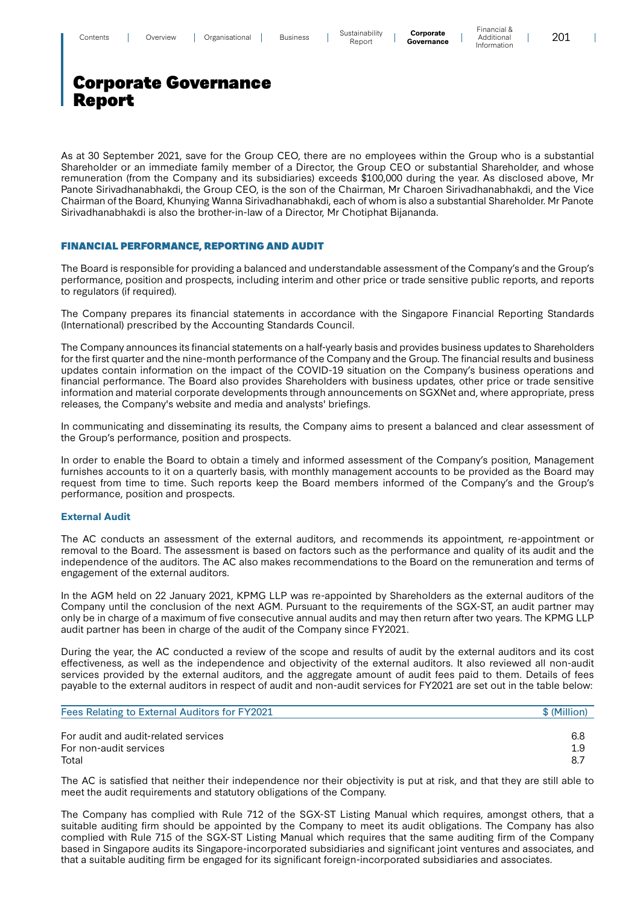$\overline{\phantom{a}}$ 

# Corporate Governance Report

As at 30 September 2021, save for the Group CEO, there are no employees within the Group who is a substantial Shareholder or an immediate family member of a Director, the Group CEO or substantial Shareholder, and whose remuneration (from the Company and its subsidiaries) exceeds \$100,000 during the year. As disclosed above, Mr Panote Sirivadhanabhakdi, the Group CEO, is the son of the Chairman, Mr Charoen Sirivadhanabhakdi, and the Vice Chairman of the Board, Khunying Wanna Sirivadhanabhakdi, each of whom is also a substantial Shareholder. Mr Panote Sirivadhanabhakdi is also the brother-in-law of a Director, Mr Chotiphat Bijananda.

### FINANCIAL PERFORMANCE, REPORTING AND AUDIT

The Board is responsible for providing a balanced and understandable assessment of the Company's and the Group's performance, position and prospects, including interim and other price or trade sensitive public reports, and reports to regulators (if required).

The Company prepares its financial statements in accordance with the Singapore Financial Reporting Standards (International) prescribed by the Accounting Standards Council.

The Company announces its financial statements on a half-yearly basis and provides business updates to Shareholders for the first quarter and the nine-month performance of the Company and the Group. The financial results and business updates contain information on the impact of the COVID-19 situation on the Company's business operations and financial performance. The Board also provides Shareholders with business updates, other price or trade sensitive information and material corporate developments through announcements on SGXNet and, where appropriate, press releases, the Company's website and media and analysts' briefings.

In communicating and disseminating its results, the Company aims to present a balanced and clear assessment of the Group's performance, position and prospects.

In order to enable the Board to obtain a timely and informed assessment of the Company's position, Management furnishes accounts to it on a quarterly basis, with monthly management accounts to be provided as the Board may request from time to time. Such reports keep the Board members informed of the Company's and the Group's performance, position and prospects.

### **External Audit**

The AC conducts an assessment of the external auditors, and recommends its appointment, re-appointment or removal to the Board. The assessment is based on factors such as the performance and quality of its audit and the independence of the auditors. The AC also makes recommendations to the Board on the remuneration and terms of engagement of the external auditors.

In the AGM held on 22 January 2021, KPMG LLP was re-appointed by Shareholders as the external auditors of the Company until the conclusion of the next AGM. Pursuant to the requirements of the SGX-ST, an audit partner may only be in charge of a maximum of five consecutive annual audits and may then return after two years. The KPMG LLP audit partner has been in charge of the audit of the Company since FY2021.

During the year, the AC conducted a review of the scope and results of audit by the external auditors and its cost effectiveness, as well as the independence and objectivity of the external auditors. It also reviewed all non-audit services provided by the external auditors, and the aggregate amount of audit fees paid to them. Details of fees payable to the external auditors in respect of audit and non-audit services for FY2021 are set out in the table below:

| Fees Relating to External Auditors for FY2021 | \$ (Million) |
|-----------------------------------------------|--------------|
| For audit and audit-related services          | 6.8          |
| For non-audit services                        | 1.9          |
| Total                                         | 8.7          |

The AC is satisfied that neither their independence nor their objectivity is put at risk, and that they are still able to meet the audit requirements and statutory obligations of the Company.

The Company has complied with Rule 712 of the SGX-ST Listing Manual which requires, amongst others, that a suitable auditing firm should be appointed by the Company to meet its audit obligations. The Company has also complied with Rule 715 of the SGX-ST Listing Manual which requires that the same auditing firm of the Company based in Singapore audits its Singapore-incorporated subsidiaries and significant joint ventures and associates, and that a suitable auditing firm be engaged for its significant foreign-incorporated subsidiaries and associates.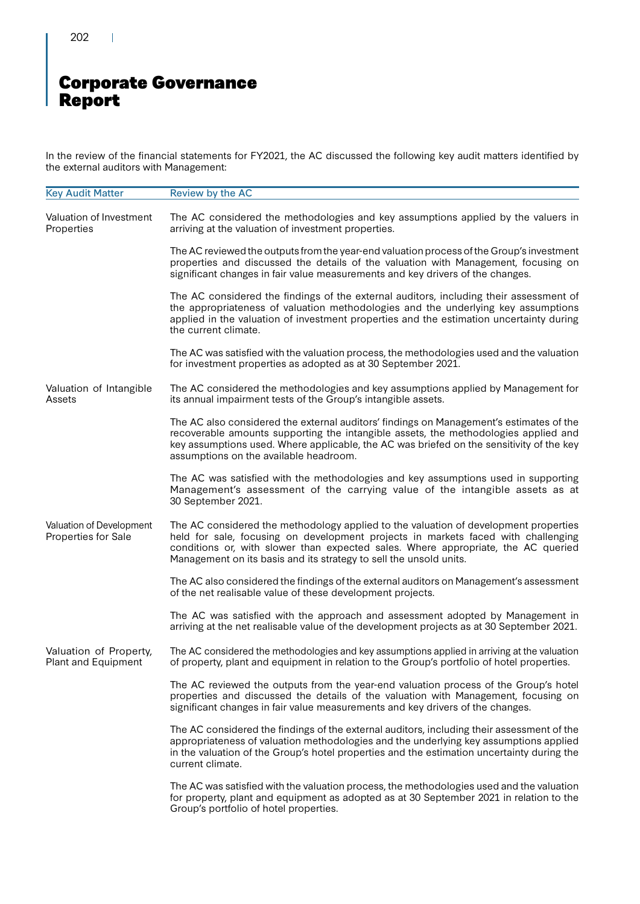202 $\sim 10$ 

# Corporate Governance Report

In the review of the financial statements for FY2021, the AC discussed the following key audit matters identified by the external auditors with Management:

| <b>Key Audit Matter</b>                         | Review by the AC                                                                                                                                                                                                                                                                                                                     |
|-------------------------------------------------|--------------------------------------------------------------------------------------------------------------------------------------------------------------------------------------------------------------------------------------------------------------------------------------------------------------------------------------|
| Valuation of Investment<br>Properties           | The AC considered the methodologies and key assumptions applied by the valuers in<br>arriving at the valuation of investment properties.                                                                                                                                                                                             |
|                                                 | The AC reviewed the outputs from the year-end valuation process of the Group's investment<br>properties and discussed the details of the valuation with Management, focusing on<br>significant changes in fair value measurements and key drivers of the changes.                                                                    |
|                                                 | The AC considered the findings of the external auditors, including their assessment of<br>the appropriateness of valuation methodologies and the underlying key assumptions<br>applied in the valuation of investment properties and the estimation uncertainty during<br>the current climate.                                       |
|                                                 | The AC was satisfied with the valuation process, the methodologies used and the valuation<br>for investment properties as adopted as at 30 September 2021.                                                                                                                                                                           |
| Valuation of Intangible<br>Assets               | The AC considered the methodologies and key assumptions applied by Management for<br>its annual impairment tests of the Group's intangible assets.                                                                                                                                                                                   |
|                                                 | The AC also considered the external auditors' findings on Management's estimates of the<br>recoverable amounts supporting the intangible assets, the methodologies applied and<br>key assumptions used. Where applicable, the AC was briefed on the sensitivity of the key<br>assumptions on the available headroom.                 |
|                                                 | The AC was satisfied with the methodologies and key assumptions used in supporting<br>Management's assessment of the carrying value of the intangible assets as at<br>30 September 2021.                                                                                                                                             |
| Valuation of Development<br>Properties for Sale | The AC considered the methodology applied to the valuation of development properties<br>held for sale, focusing on development projects in markets faced with challenging<br>conditions or, with slower than expected sales. Where appropriate, the AC queried<br>Management on its basis and its strategy to sell the unsold units. |
|                                                 | The AC also considered the findings of the external auditors on Management's assessment<br>of the net realisable value of these development projects.                                                                                                                                                                                |
|                                                 | The AC was satisfied with the approach and assessment adopted by Management in<br>arriving at the net realisable value of the development projects as at 30 September 2021.                                                                                                                                                          |
| Valuation of Property,<br>Plant and Equipment   | The AC considered the methodologies and key assumptions applied in arriving at the valuation<br>of property, plant and equipment in relation to the Group's portfolio of hotel properties.                                                                                                                                           |
|                                                 | The AC reviewed the outputs from the year-end valuation process of the Group's hotel<br>properties and discussed the details of the valuation with Management, focusing on<br>significant changes in fair value measurements and key drivers of the changes.                                                                         |
|                                                 | The AC considered the findings of the external auditors, including their assessment of the<br>appropriateness of valuation methodologies and the underlying key assumptions applied<br>in the valuation of the Group's hotel properties and the estimation uncertainty during the<br>current climate.                                |
|                                                 | The AC was satisfied with the valuation process, the methodologies used and the valuation<br>for property, plant and equipment as adopted as at 30 September 2021 in relation to the<br>Group's portfolio of hotel properties.                                                                                                       |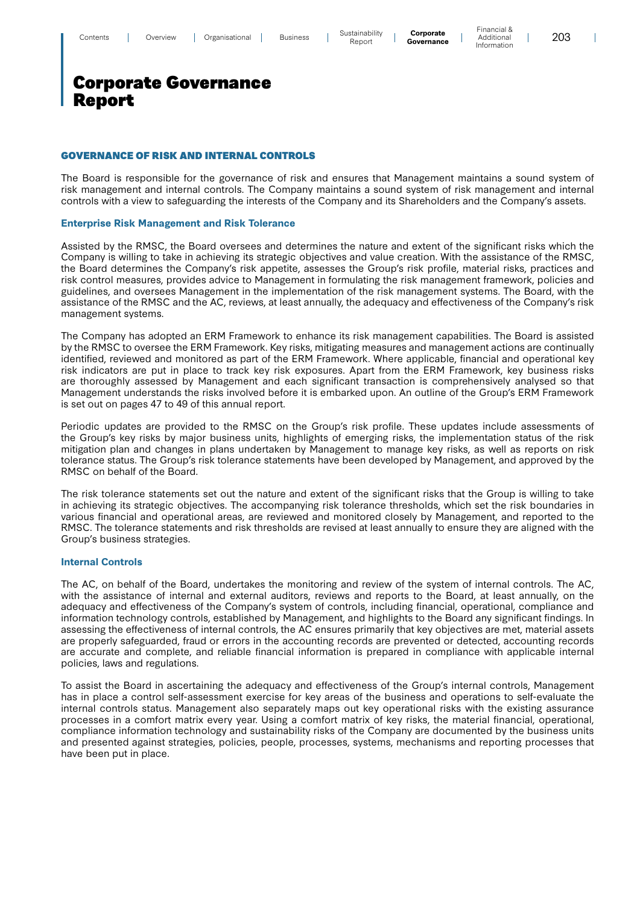Financial & Additional Information

 $\overline{\phantom{a}}$ 

### Corporate Governance Report

### GOVERNANCE OF RISK AND INTERNAL CONTROLS

The Board is responsible for the governance of risk and ensures that Management maintains a sound system of risk management and internal controls. The Company maintains a sound system of risk management and internal controls with a view to safeguarding the interests of the Company and its Shareholders and the Company's assets.

### **Enterprise Risk Management and Risk Tolerance**

Assisted by the RMSC, the Board oversees and determines the nature and extent of the significant risks which the Company is willing to take in achieving its strategic objectives and value creation. With the assistance of the RMSC, the Board determines the Company's risk appetite, assesses the Group's risk profile, material risks, practices and risk control measures, provides advice to Management in formulating the risk management framework, policies and guidelines, and oversees Management in the implementation of the risk management systems. The Board, with the assistance of the RMSC and the AC, reviews, at least annually, the adequacy and effectiveness of the Company's risk management systems.

The Company has adopted an ERM Framework to enhance its risk management capabilities. The Board is assisted by the RMSC to oversee the ERM Framework. Key risks, mitigating measures and management actions are continually identified, reviewed and monitored as part of the ERM Framework. Where applicable, financial and operational key risk indicators are put in place to track key risk exposures. Apart from the ERM Framework, key business risks are thoroughly assessed by Management and each significant transaction is comprehensively analysed so that Management understands the risks involved before it is embarked upon. An outline of the Group's ERM Framework is set out on pages 47 to 49 of this annual report.

Periodic updates are provided to the RMSC on the Group's risk profile. These updates include assessments of the Group's key risks by major business units, highlights of emerging risks, the implementation status of the risk mitigation plan and changes in plans undertaken by Management to manage key risks, as well as reports on risk tolerance status. The Group's risk tolerance statements have been developed by Management, and approved by the RMSC on behalf of the Board.

The risk tolerance statements set out the nature and extent of the significant risks that the Group is willing to take in achieving its strategic objectives. The accompanying risk tolerance thresholds, which set the risk boundaries in various financial and operational areas, are reviewed and monitored closely by Management, and reported to the RMSC. The tolerance statements and risk thresholds are revised at least annually to ensure they are aligned with the Group's business strategies.

### **Internal Controls**

The AC, on behalf of the Board, undertakes the monitoring and review of the system of internal controls. The AC, with the assistance of internal and external auditors, reviews and reports to the Board, at least annually, on the adequacy and effectiveness of the Company's system of controls, including financial, operational, compliance and information technology controls, established by Management, and highlights to the Board any significant findings. In assessing the effectiveness of internal controls, the AC ensures primarily that key objectives are met, material assets are properly safeguarded, fraud or errors in the accounting records are prevented or detected, accounting records are accurate and complete, and reliable financial information is prepared in compliance with applicable internal policies, laws and regulations.

To assist the Board in ascertaining the adequacy and effectiveness of the Group's internal controls, Management has in place a control self-assessment exercise for key areas of the business and operations to self-evaluate the internal controls status. Management also separately maps out key operational risks with the existing assurance processes in a comfort matrix every year. Using a comfort matrix of key risks, the material financial, operational, compliance information technology and sustainability risks of the Company are documented by the business units and presented against strategies, policies, people, processes, systems, mechanisms and reporting processes that have been put in place.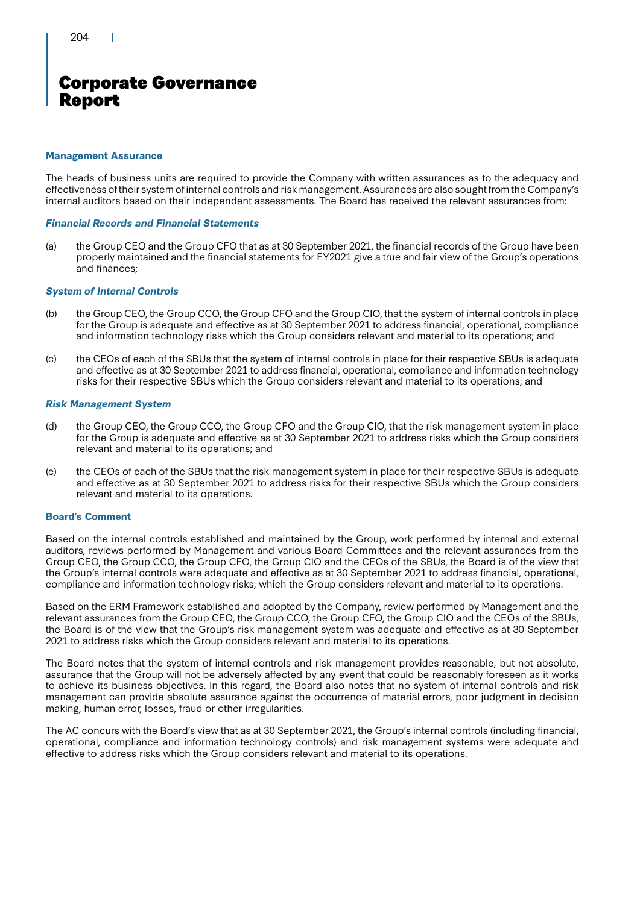### **Management Assurance**

The heads of business units are required to provide the Company with written assurances as to the adequacy and effectiveness of their system of internal controls and risk management. Assurances are also sought from the Company's internal auditors based on their independent assessments. The Board has received the relevant assurances from:

### *Financial Records and Financial Statements*

(a) the Group CEO and the Group CFO that as at 30 September 2021, the financial records of the Group have been properly maintained and the financial statements for FY2021 give a true and fair view of the Group's operations and finances;

### *System of Internal Controls*

- (b) the Group CEO, the Group CCO, the Group CFO and the Group CIO, that the system of internal controls in place for the Group is adequate and effective as at 30 September 2021 to address financial, operational, compliance and information technology risks which the Group considers relevant and material to its operations; and
- (c) the CEOs of each of the SBUs that the system of internal controls in place for their respective SBUs is adequate and effective as at 30 September 2021 to address financial, operational, compliance and information technology risks for their respective SBUs which the Group considers relevant and material to its operations; and

### *Risk Management System*

- (d) the Group CEO, the Group CCO, the Group CFO and the Group CIO, that the risk management system in place for the Group is adequate and effective as at 30 September 2021 to address risks which the Group considers relevant and material to its operations; and
- (e) the CEOs of each of the SBUs that the risk management system in place for their respective SBUs is adequate and effective as at 30 September 2021 to address risks for their respective SBUs which the Group considers relevant and material to its operations.

### **Board's Comment**

Based on the internal controls established and maintained by the Group, work performed by internal and external auditors, reviews performed by Management and various Board Committees and the relevant assurances from the Group CEO, the Group CCO, the Group CFO, the Group CIO and the CEOs of the SBUs, the Board is of the view that the Group's internal controls were adequate and effective as at 30 September 2021 to address financial, operational, compliance and information technology risks, which the Group considers relevant and material to its operations.

Based on the ERM Framework established and adopted by the Company, review performed by Management and the relevant assurances from the Group CEO, the Group CCO, the Group CFO, the Group CIO and the CEOs of the SBUs, the Board is of the view that the Group's risk management system was adequate and effective as at 30 September 2021 to address risks which the Group considers relevant and material to its operations.

The Board notes that the system of internal controls and risk management provides reasonable, but not absolute, assurance that the Group will not be adversely affected by any event that could be reasonably foreseen as it works to achieve its business objectives. In this regard, the Board also notes that no system of internal controls and risk management can provide absolute assurance against the occurrence of material errors, poor judgment in decision making, human error, losses, fraud or other irregularities.

The AC concurs with the Board's view that as at 30 September 2021, the Group's internal controls (including financial, operational, compliance and information technology controls) and risk management systems were adequate and effective to address risks which the Group considers relevant and material to its operations.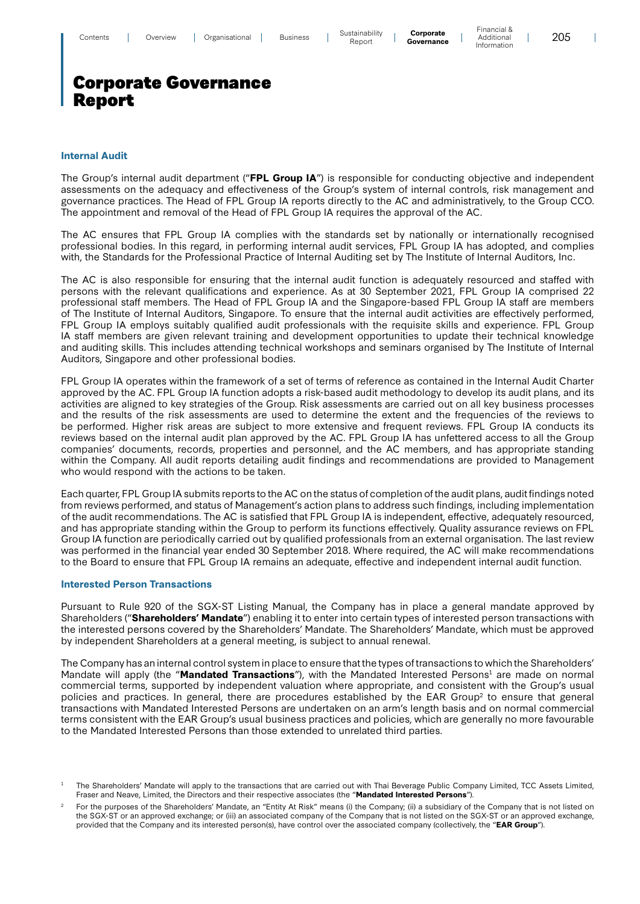#### **Internal Audit**

The Group's internal audit department ("**FPL Group IA**") is responsible for conducting objective and independent assessments on the adequacy and effectiveness of the Group's system of internal controls, risk management and governance practices. The Head of FPL Group IA reports directly to the AC and administratively, to the Group CCO. The appointment and removal of the Head of FPL Group IA requires the approval of the AC.

The AC ensures that FPL Group IA complies with the standards set by nationally or internationally recognised professional bodies. In this regard, in performing internal audit services, FPL Group IA has adopted, and complies with, the Standards for the Professional Practice of Internal Auditing set by The Institute of Internal Auditors, Inc.

The AC is also responsible for ensuring that the internal audit function is adequately resourced and staffed with persons with the relevant qualifications and experience. As at 30 September 2021, FPL Group IA comprised 22 professional staff members. The Head of FPL Group IA and the Singapore-based FPL Group IA staff are members of The Institute of Internal Auditors, Singapore. To ensure that the internal audit activities are effectively performed, FPL Group IA employs suitably qualified audit professionals with the requisite skills and experience. FPL Group IA staff members are given relevant training and development opportunities to update their technical knowledge and auditing skills. This includes attending technical workshops and seminars organised by The Institute of Internal Auditors, Singapore and other professional bodies.

FPL Group IA operates within the framework of a set of terms of reference as contained in the Internal Audit Charter approved by the AC. FPL Group IA function adopts a risk-based audit methodology to develop its audit plans, and its activities are aligned to key strategies of the Group. Risk assessments are carried out on all key business processes and the results of the risk assessments are used to determine the extent and the frequencies of the reviews to be performed. Higher risk areas are subject to more extensive and frequent reviews. FPL Group IA conducts its reviews based on the internal audit plan approved by the AC. FPL Group IA has unfettered access to all the Group companies' documents, records, properties and personnel, and the AC members, and has appropriate standing within the Company. All audit reports detailing audit findings and recommendations are provided to Management who would respond with the actions to be taken.

Each quarter, FPL Group IA submits reports to the AC on the status of completion of the audit plans, audit findings noted from reviews performed, and status of Management's action plans to address such findings, including implementation of the audit recommendations. The AC is satisfied that FPL Group IA is independent, effective, adequately resourced, and has appropriate standing within the Group to perform its functions effectively. Quality assurance reviews on FPL Group IA function are periodically carried out by qualified professionals from an external organisation. The last review was performed in the financial year ended 30 September 2018. Where required, the AC will make recommendations to the Board to ensure that FPL Group IA remains an adequate, effective and independent internal audit function.

### **Interested Person Transactions**

Pursuant to Rule 920 of the SGX-ST Listing Manual, the Company has in place a general mandate approved by Shareholders ("**Shareholders' Mandate**") enabling it to enter into certain types of interested person transactions with the interested persons covered by the Shareholders' Mandate. The Shareholders' Mandate, which must be approved by independent Shareholders at a general meeting, is subject to annual renewal.

The Company has an internal control system in place to ensure that the types of transactions to which the Shareholders' Mandate will apply (the "**Mandated Transactions**"), with the Mandated Interested Persons<sup>1</sup> are made on normal commercial terms, supported by independent valuation where appropriate, and consistent with the Group's usual policies and practices. In general, there are procedures established by the EAR Group<sup>2</sup> to ensure that general transactions with Mandated Interested Persons are undertaken on an arm's length basis and on normal commercial terms consistent with the EAR Group's usual business practices and policies, which are generally no more favourable to the Mandated Interested Persons than those extended to unrelated third parties.

 $\overline{\phantom{a}}$ 

<sup>1</sup> The Shareholders' Mandate will apply to the transactions that are carried out with Thai Beverage Public Company Limited, TCC Assets Limited, Fraser and Neave, Limited, the Directors and their respective associates (the "**Mandated Interested Persons**").

<sup>2</sup> For the purposes of the Shareholders' Mandate, an "Entity At Risk" means (i) the Company; (ii) a subsidiary of the Company that is not listed on the SGX-ST or an approved exchange; or (iii) an associated company of the Company that is not listed on the SGX-ST or an approved exchange, provided that the Company and its interested person(s), have control over the associated company (collectively, the "**EAR Group**").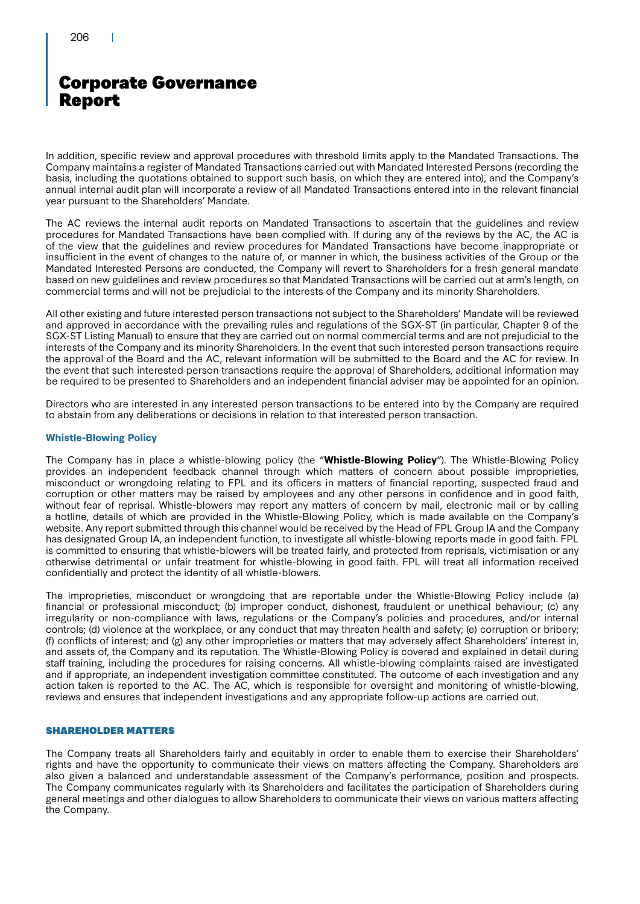In addition, specific review and approval procedures with threshold limits apply to the Mandated Transactions. The Company maintains a register of Mandated Transactions carried out with Mandated Interested Persons (recording the basis, including the quotations obtained to support such basis, on which they are entered into), and the Company's annual internal audit plan will incorporate a review of all Mandated Transactions entered into in the relevant financial year pursuant to the Shareholders' Mandate.

The AC reviews the internal audit reports on Mandated Transactions to ascertain that the guidelines and review procedures for Mandated Transactions have been complied with. If during any of the reviews by the AC, the AC is of the view that the guidelines and review procedures for Mandated Transactions have become inappropriate or insufficient in the event of changes to the nature of, or manner in which, the business activities of the Group or the Mandated Interested Persons are conducted, the Company will revert to Shareholders for a fresh general mandate based on new guidelines and review procedures so that Mandated Transactions will be carried out at arm's length, on commercial terms and will not be prejudicial to the interests of the Company and its minority Shareholders.

All other existing and future interested person transactions not subject to the Shareholders' Mandate will be reviewed and approved in accordance with the prevailing rules and regulations of the SGX-ST (in particular, Chapter 9 of the SGX-ST Listing Manual) to ensure that they are carried out on normal commercial terms and are not prejudicial to the interests of the Company and its minority Shareholders. In the event that such interested person transactions require the approval of the Board and the AC, relevant information will be submitted to the Board and the AC for review. In the event that such interested person transactions require the approval of Shareholders, additional information may be required to be presented to Shareholders and an independent financial adviser may be appointed for an opinion.

Directors who are interested in any interested person transactions to be entered into by the Company are required to abstain from any deliberations or decisions in relation to that interested person transaction.

### **Whistle-Blowing Policy**

The Company has in place a whistle-blowing policy (the "**Whistle-Blowing Policy**"). The Whistle-Blowing Policy provides an independent feedback channel through which matters of concern about possible improprieties, misconduct or wrongdoing relating to FPL and its officers in matters of financial reporting, suspected fraud and corruption or other matters may be raised by employees and any other persons in confidence and in good faith, without fear of reprisal. Whistle-blowers may report any matters of concern by mail, electronic mail or by calling a hotline, details of which are provided in the Whistle-Blowing Policy, which is made available on the Company's website. Any report submitted through this channel would be received by the Head of FPL Group IA and the Company has designated Group IA, an independent function, to investigate all whistle-blowing reports made in good faith. FPL is committed to ensuring that whistle-blowers will be treated fairly, and protected from reprisals, victimisation or any otherwise detrimental or unfair treatment for whistle-blowing in good faith. FPL will treat all information received confidentially and protect the identity of all whistle-blowers.

The improprieties, misconduct or wrongdoing that are reportable under the Whistle-Blowing Policy include (a) financial or professional misconduct; (b) improper conduct, dishonest, fraudulent or unethical behaviour; (c) any irregularity or non-compliance with laws, regulations or the Company's policies and procedures, and/or internal controls; (d) violence at the workplace, or any conduct that may threaten health and safety; (e) corruption or bribery; (f) conflicts of interest; and (g) any other improprieties or matters that may adversely affect Shareholders' interest in, and assets of, the Company and its reputation. The Whistle-Blowing Policy is covered and explained in detail during staff training, including the procedures for raising concerns. All whistle-blowing complaints raised are investigated and if appropriate, an independent investigation committee constituted. The outcome of each investigation and any action taken is reported to the AC. The AC, which is responsible for oversight and monitoring of whistle-blowing, reviews and ensures that independent investigations and any appropriate follow-up actions are carried out.

### SHAREHOLDER MATTERS

The Company treats all Shareholders fairly and equitably in order to enable them to exercise their Shareholders' rights and have the opportunity to communicate their views on matters affecting the Company. Shareholders are also given a balanced and understandable assessment of the Company's performance, position and prospects. The Company communicates regularly with its Shareholders and facilitates the participation of Shareholders during general meetings and other dialogues to allow Shareholders to communicate their views on various matters affecting the Company.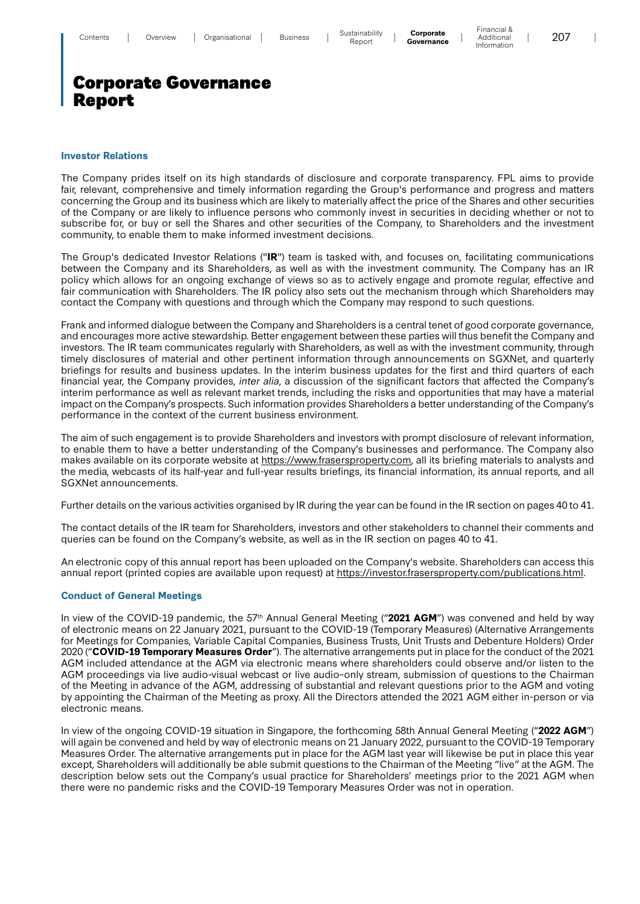Financial & Additional Information

 $\mathbf{I}$ 

# Corporate Governance Report

### **Investor Relations**

The Company prides itself on its high standards of disclosure and corporate transparency. FPL aims to provide fair, relevant, comprehensive and timely information regarding the Group's performance and progress and matters concerning the Group and its business which are likely to materially affect the price of the Shares and other securities of the Company or are likely to influence persons who commonly invest in securities in deciding whether or not to subscribe for, or buy or sell the Shares and other securities of the Company, to Shareholders and the investment community, to enable them to make informed investment decisions.

The Group's dedicated Investor Relations ("**IR**") team is tasked with, and focuses on, facilitating communications between the Company and its Shareholders, as well as with the investment community. The Company has an IR policy which allows for an ongoing exchange of views so as to actively engage and promote regular, effective and fair communication with Shareholders. The IR policy also sets out the mechanism through which Shareholders may contact the Company with questions and through which the Company may respond to such questions.

Frank and informed dialogue between the Company and Shareholders is a central tenet of good corporate governance, and encourages more active stewardship. Better engagement between these parties will thus benefit the Company and investors. The IR team communicates regularly with Shareholders, as well as with the investment community, through timely disclosures of material and other pertinent information through announcements on SGXNet, and quarterly briefings for results and business updates. In the interim business updates for the first and third quarters of each financial year, the Company provides, inter alia, a discussion of the significant factors that affected the Company's interim performance as well as relevant market trends, including the risks and opportunities that may have a material impact on the Company's prospects. Such information provides Shareholders a better understanding of the Company's performance in the context of the current business environment.

The aim of such engagement is to provide Shareholders and investors with prompt disclosure of relevant information, to enable them to have a better understanding of the Company's businesses and performance. The Company also makes available on its corporate website at https://www.frasersproperty.com, all its briefing materials to analysts and the media, webcasts of its half-year and full-year results briefings, its financial information, its annual reports, and all SGXNet announcements.

Further details on the various activities organised by IR during the year can be found in the IR section on pages 40 to 41.

The contact details of the IR team for Shareholders, investors and other stakeholders to channel their comments and queries can be found on the Company's website, as well as in the IR section on pages 40 to 41.

An electronic copy of this annual report has been uploaded on the Company's website. Shareholders can access this annual report (printed copies are available upon request) at https://investor.frasersproperty.com/publications.html.

### **Conduct of General Meetings**

In view of the COVID-19 pandemic, the 57<sup>th</sup> Annual General Meeting ("2021 AGM") was convened and held by way of electronic means on 22 January 2021, pursuant to the COVID-19 (Temporary Measures) (Alternative Arrangements for Meetings for Companies, Variable Capital Companies, Business Trusts, Unit Trusts and Debenture Holders) Order 2020 ("**COVID-19 Temporary Measures Order**"). The alternative arrangements put in place for the conduct of the 2021 AGM included attendance at the AGM via electronic means where shareholders could observe and/or listen to the AGM proceedings via live audio-visual webcast or live audio–only stream, submission of questions to the Chairman of the Meeting in advance of the AGM, addressing of substantial and relevant questions prior to the AGM and voting by appointing the Chairman of the Meeting as proxy. All the Directors attended the 2021 AGM either in-person or via electronic means.

In view of the ongoing COVID-19 situation in Singapore, the forthcoming 58th Annual General Meeting ("**2022 AGM**") will again be convened and held by way of electronic means on 21 January 2022, pursuant to the COVID-19 Temporary Measures Order. The alternative arrangements put in place for the AGM last year will likewise be put in place this year except, Shareholders will additionally be able submit questions to the Chairman of the Meeting "live" at the AGM. The description below sets out the Company's usual practice for Shareholders' meetings prior to the 2021 AGM when there were no pandemic risks and the COVID-19 Temporary Measures Order was not in operation.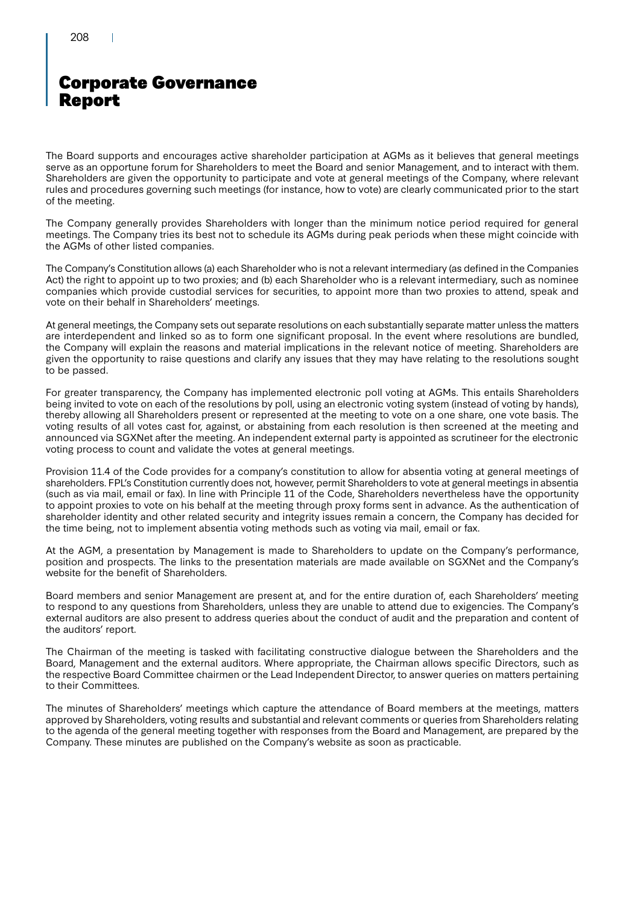The Board supports and encourages active shareholder participation at AGMs as it believes that general meetings serve as an opportune forum for Shareholders to meet the Board and senior Management, and to interact with them. Shareholders are given the opportunity to participate and vote at general meetings of the Company, where relevant rules and procedures governing such meetings (for instance, how to vote) are clearly communicated prior to the start of the meeting.

The Company generally provides Shareholders with longer than the minimum notice period required for general meetings. The Company tries its best not to schedule its AGMs during peak periods when these might coincide with the AGMs of other listed companies.

The Company's Constitution allows (a) each Shareholder who is not a relevant intermediary (as defined in the Companies Act) the right to appoint up to two proxies; and (b) each Shareholder who is a relevant intermediary, such as nominee companies which provide custodial services for securities, to appoint more than two proxies to attend, speak and vote on their behalf in Shareholders' meetings.

At general meetings, the Company sets out separate resolutions on each substantially separate matter unless the matters are interdependent and linked so as to form one significant proposal. In the event where resolutions are bundled, the Company will explain the reasons and material implications in the relevant notice of meeting. Shareholders are given the opportunity to raise questions and clarify any issues that they may have relating to the resolutions sought to be passed.

For greater transparency, the Company has implemented electronic poll voting at AGMs. This entails Shareholders being invited to vote on each of the resolutions by poll, using an electronic voting system (instead of voting by hands), thereby allowing all Shareholders present or represented at the meeting to vote on a one share, one vote basis. The voting results of all votes cast for, against, or abstaining from each resolution is then screened at the meeting and announced via SGXNet after the meeting. An independent external party is appointed as scrutineer for the electronic voting process to count and validate the votes at general meetings.

Provision 11.4 of the Code provides for a company's constitution to allow for absentia voting at general meetings of shareholders. FPL's Constitution currently does not, however, permit Shareholders to vote at general meetings in absentia (such as via mail, email or fax). In line with Principle 11 of the Code, Shareholders nevertheless have the opportunity to appoint proxies to vote on his behalf at the meeting through proxy forms sent in advance. As the authentication of shareholder identity and other related security and integrity issues remain a concern, the Company has decided for the time being, not to implement absentia voting methods such as voting via mail, email or fax.

At the AGM, a presentation by Management is made to Shareholders to update on the Company's performance, position and prospects. The links to the presentation materials are made available on SGXNet and the Company's website for the benefit of Shareholders.

Board members and senior Management are present at, and for the entire duration of, each Shareholders' meeting to respond to any questions from Shareholders, unless they are unable to attend due to exigencies. The Company's external auditors are also present to address queries about the conduct of audit and the preparation and content of the auditors' report.

The Chairman of the meeting is tasked with facilitating constructive dialogue between the Shareholders and the Board, Management and the external auditors. Where appropriate, the Chairman allows specific Directors, such as the respective Board Committee chairmen or the Lead Independent Director, to answer queries on matters pertaining to their Committees.

The minutes of Shareholders' meetings which capture the attendance of Board members at the meetings, matters approved by Shareholders, voting results and substantial and relevant comments or queries from Shareholders relating to the agenda of the general meeting together with responses from the Board and Management, are prepared by the Company. These minutes are published on the Company's website as soon as practicable.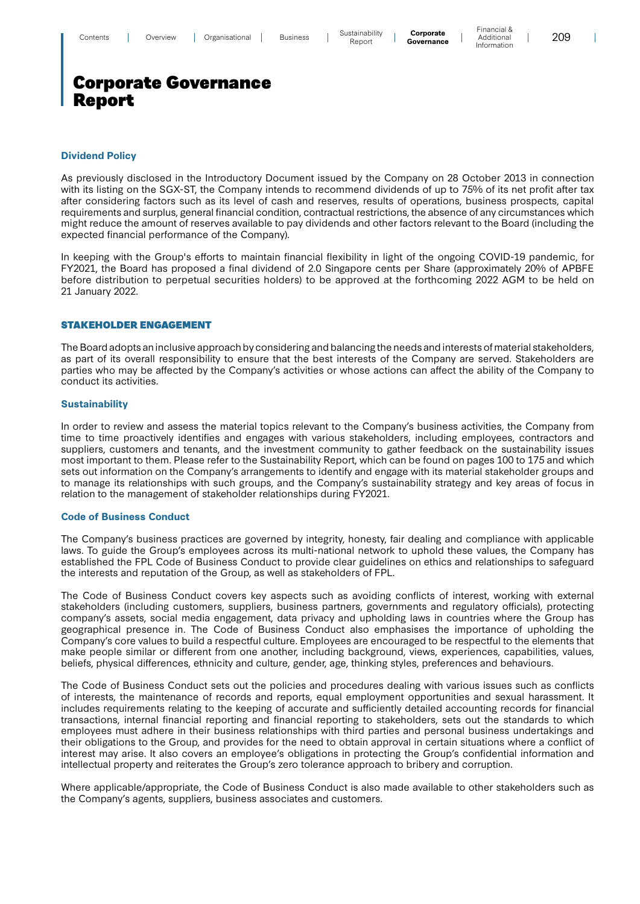209

 $\overline{\phantom{a}}$ 

# Corporate Governance Report

#### **Dividend Policy**

As previously disclosed in the Introductory Document issued by the Company on 28 October 2013 in connection with its listing on the SGX-ST, the Company intends to recommend dividends of up to 75% of its net profit after tax after considering factors such as its level of cash and reserves, results of operations, business prospects, capital requirements and surplus, general financial condition, contractual restrictions, the absence of any circumstances which might reduce the amount of reserves available to pay dividends and other factors relevant to the Board (including the expected financial performance of the Company).

In keeping with the Group's efforts to maintain financial flexibility in light of the ongoing COVID-19 pandemic, for FY2021, the Board has proposed a final dividend of 2.0 Singapore cents per Share (approximately 20% of APBFE before distribution to perpetual securities holders) to be approved at the forthcoming 2022 AGM to be held on 21 January 2022.

### STAKEHOLDER ENGAGEMENT

The Board adopts an inclusive approach by considering and balancing the needs and interests of material stakeholders, as part of its overall responsibility to ensure that the best interests of the Company are served. Stakeholders are parties who may be affected by the Company's activities or whose actions can affect the ability of the Company to conduct its activities.

#### **Sustainability**

In order to review and assess the material topics relevant to the Company's business activities, the Company from time to time proactively identifies and engages with various stakeholders, including employees, contractors and suppliers, customers and tenants, and the investment community to gather feedback on the sustainability issues most important to them. Please refer to the Sustainability Report, which can be found on pages 100 to 175 and which sets out information on the Company's arrangements to identify and engage with its material stakeholder groups and to manage its relationships with such groups, and the Company's sustainability strategy and key areas of focus in relation to the management of stakeholder relationships during FY2021.

#### **Code of Business Conduct**

The Company's business practices are governed by integrity, honesty, fair dealing and compliance with applicable laws. To guide the Group's employees across its multi-national network to uphold these values, the Company has established the FPL Code of Business Conduct to provide clear guidelines on ethics and relationships to safeguard the interests and reputation of the Group, as well as stakeholders of FPL.

The Code of Business Conduct covers key aspects such as avoiding conflicts of interest, working with external stakeholders (including customers, suppliers, business partners, governments and regulatory officials), protecting company's assets, social media engagement, data privacy and upholding laws in countries where the Group has geographical presence in. The Code of Business Conduct also emphasises the importance of upholding the Company's core values to build a respectful culture. Employees are encouraged to be respectful to the elements that make people similar or different from one another, including background, views, experiences, capabilities, values, beliefs, physical differences, ethnicity and culture, gender, age, thinking styles, preferences and behaviours.

The Code of Business Conduct sets out the policies and procedures dealing with various issues such as conflicts of interests, the maintenance of records and reports, equal employment opportunities and sexual harassment. It includes requirements relating to the keeping of accurate and sufficiently detailed accounting records for financial transactions, internal financial reporting and financial reporting to stakeholders, sets out the standards to which employees must adhere in their business relationships with third parties and personal business undertakings and their obligations to the Group, and provides for the need to obtain approval in certain situations where a conflict of interest may arise. It also covers an employee's obligations in protecting the Group's confidential information and intellectual property and reiterates the Group's zero tolerance approach to bribery and corruption.

Where applicable/appropriate, the Code of Business Conduct is also made available to other stakeholders such as the Company's agents, suppliers, business associates and customers.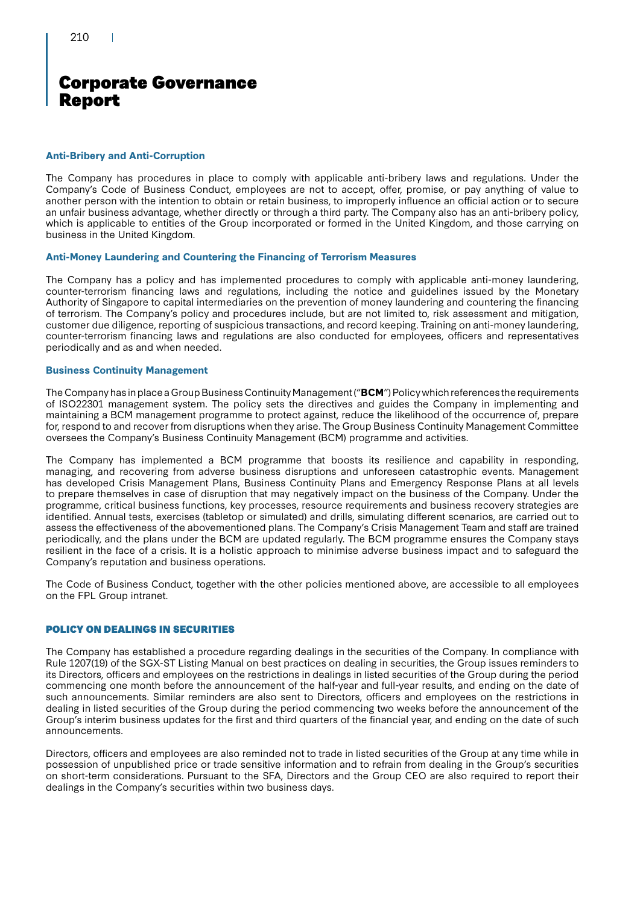### **Anti-Bribery and Anti-Corruption**

The Company has procedures in place to comply with applicable anti-bribery laws and regulations. Under the Company's Code of Business Conduct, employees are not to accept, offer, promise, or pay anything of value to another person with the intention to obtain or retain business, to improperly influence an official action or to secure an unfair business advantage, whether directly or through a third party. The Company also has an anti-bribery policy, which is applicable to entities of the Group incorporated or formed in the United Kingdom, and those carrying on business in the United Kingdom.

### **Anti-Money Laundering and Countering the Financing of Terrorism Measures**

The Company has a policy and has implemented procedures to comply with applicable anti-money laundering, counter-terrorism financing laws and regulations, including the notice and guidelines issued by the Monetary Authority of Singapore to capital intermediaries on the prevention of money laundering and countering the financing of terrorism. The Company's policy and procedures include, but are not limited to, risk assessment and mitigation, customer due diligence, reporting of suspicious transactions, and record keeping. Training on anti-money laundering, counter-terrorism financing laws and regulations are also conducted for employees, officers and representatives periodically and as and when needed.

### **Business Continuity Management**

The Company has in place a Group Business Continuity Management ("**BCM**") Policy which references the requirements of ISO22301 management system. The policy sets the directives and guides the Company in implementing and maintaining a BCM management programme to protect against, reduce the likelihood of the occurrence of, prepare for, respond to and recover from disruptions when they arise. The Group Business Continuity Management Committee oversees the Company's Business Continuity Management (BCM) programme and activities.

The Company has implemented a BCM programme that boosts its resilience and capability in responding, managing, and recovering from adverse business disruptions and unforeseen catastrophic events. Management has developed Crisis Management Plans, Business Continuity Plans and Emergency Response Plans at all levels to prepare themselves in case of disruption that may negatively impact on the business of the Company. Under the programme, critical business functions, key processes, resource requirements and business recovery strategies are identified. Annual tests, exercises (tabletop or simulated) and drills, simulating different scenarios, are carried out to assess the effectiveness of the abovementioned plans. The Company's Crisis Management Team and staff are trained periodically, and the plans under the BCM are updated regularly. The BCM programme ensures the Company stays resilient in the face of a crisis. It is a holistic approach to minimise adverse business impact and to safeguard the Company's reputation and business operations.

The Code of Business Conduct, together with the other policies mentioned above, are accessible to all employees on the FPL Group intranet.

### POLICY ON DEALINGS IN SECURITIES

The Company has established a procedure regarding dealings in the securities of the Company. In compliance with Rule 1207(19) of the SGX-ST Listing Manual on best practices on dealing in securities, the Group issues reminders to its Directors, officers and employees on the restrictions in dealings in listed securities of the Group during the period commencing one month before the announcement of the half-year and full-year results, and ending on the date of such announcements. Similar reminders are also sent to Directors, officers and employees on the restrictions in dealing in listed securities of the Group during the period commencing two weeks before the announcement of the Group's interim business updates for the first and third quarters of the financial year, and ending on the date of such announcements.

Directors, officers and employees are also reminded not to trade in listed securities of the Group at any time while in possession of unpublished price or trade sensitive information and to refrain from dealing in the Group's securities on short-term considerations. Pursuant to the SFA, Directors and the Group CEO are also required to report their dealings in the Company's securities within two business days.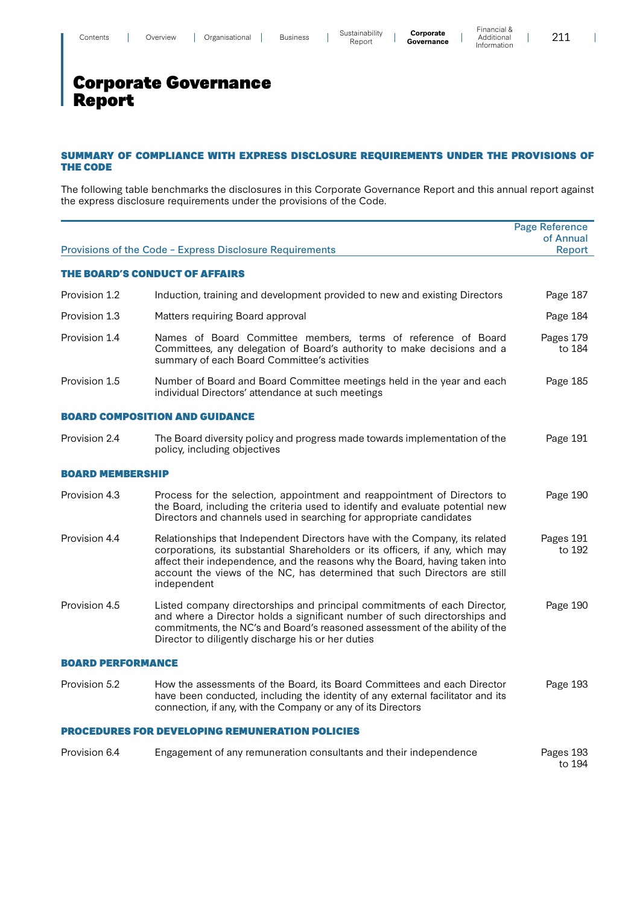211

 $\overline{\phantom{a}}$ 

# Corporate Governance Report

### SUMMARY OF COMPLIANCE WITH EXPRESS DISCLOSURE REQUIREMENTS UNDER THE PROVISIONS OF THE CODE

The following table benchmarks the disclosures in this Corporate Governance Report and this annual report against the express disclosure requirements under the provisions of the Code.

|                                                        |                                                                                                                                                                                                                                                                                                                                         | <b>Page Reference</b>      |  |
|--------------------------------------------------------|-----------------------------------------------------------------------------------------------------------------------------------------------------------------------------------------------------------------------------------------------------------------------------------------------------------------------------------------|----------------------------|--|
|                                                        | Provisions of the Code - Express Disclosure Requirements                                                                                                                                                                                                                                                                                | of Annual<br><b>Report</b> |  |
|                                                        |                                                                                                                                                                                                                                                                                                                                         |                            |  |
|                                                        | THE BOARD'S CONDUCT OF AFFAIRS                                                                                                                                                                                                                                                                                                          |                            |  |
| Provision 1.2                                          | Induction, training and development provided to new and existing Directors                                                                                                                                                                                                                                                              | Page 187                   |  |
| Provision 1.3                                          | Matters requiring Board approval                                                                                                                                                                                                                                                                                                        | Page 184                   |  |
| Provision 1.4                                          | Names of Board Committee members, terms of reference of Board<br>Committees, any delegation of Board's authority to make decisions and a<br>summary of each Board Committee's activities                                                                                                                                                | Pages 179<br>to 184        |  |
| Provision 1.5                                          | Number of Board and Board Committee meetings held in the year and each<br>individual Directors' attendance at such meetings                                                                                                                                                                                                             | Page 185                   |  |
|                                                        | <b>BOARD COMPOSITION AND GUIDANCE</b>                                                                                                                                                                                                                                                                                                   |                            |  |
| Provision 2.4                                          | The Board diversity policy and progress made towards implementation of the<br>policy, including objectives                                                                                                                                                                                                                              | Page 191                   |  |
| <b>BOARD MEMBERSHIP</b>                                |                                                                                                                                                                                                                                                                                                                                         |                            |  |
| Provision 4.3                                          | Process for the selection, appointment and reappointment of Directors to<br>the Board, including the criteria used to identify and evaluate potential new<br>Directors and channels used in searching for appropriate candidates                                                                                                        | Page 190                   |  |
| Provision 4.4                                          | Relationships that Independent Directors have with the Company, its related<br>corporations, its substantial Shareholders or its officers, if any, which may<br>affect their independence, and the reasons why the Board, having taken into<br>account the views of the NC, has determined that such Directors are still<br>independent | Pages 191<br>to 192        |  |
| Provision 4.5                                          | Listed company directorships and principal commitments of each Director,<br>and where a Director holds a significant number of such directorships and<br>commitments, the NC's and Board's reasoned assessment of the ability of the<br>Director to diligently discharge his or her duties                                              | Page 190                   |  |
| <b>BOARD PERFORMANCE</b>                               |                                                                                                                                                                                                                                                                                                                                         |                            |  |
| Provision 5.2                                          | How the assessments of the Board, its Board Committees and each Director<br>have been conducted, including the identity of any external facilitator and its<br>connection, if any, with the Company or any of its Directors                                                                                                             | Page 193                   |  |
| <b>PROCEDURES FOR DEVELOPING REMUNERATION POLICIES</b> |                                                                                                                                                                                                                                                                                                                                         |                            |  |
| Provision 6.4                                          | Engagement of any remuneration consultants and their independence                                                                                                                                                                                                                                                                       | Pages 193<br>to 194        |  |